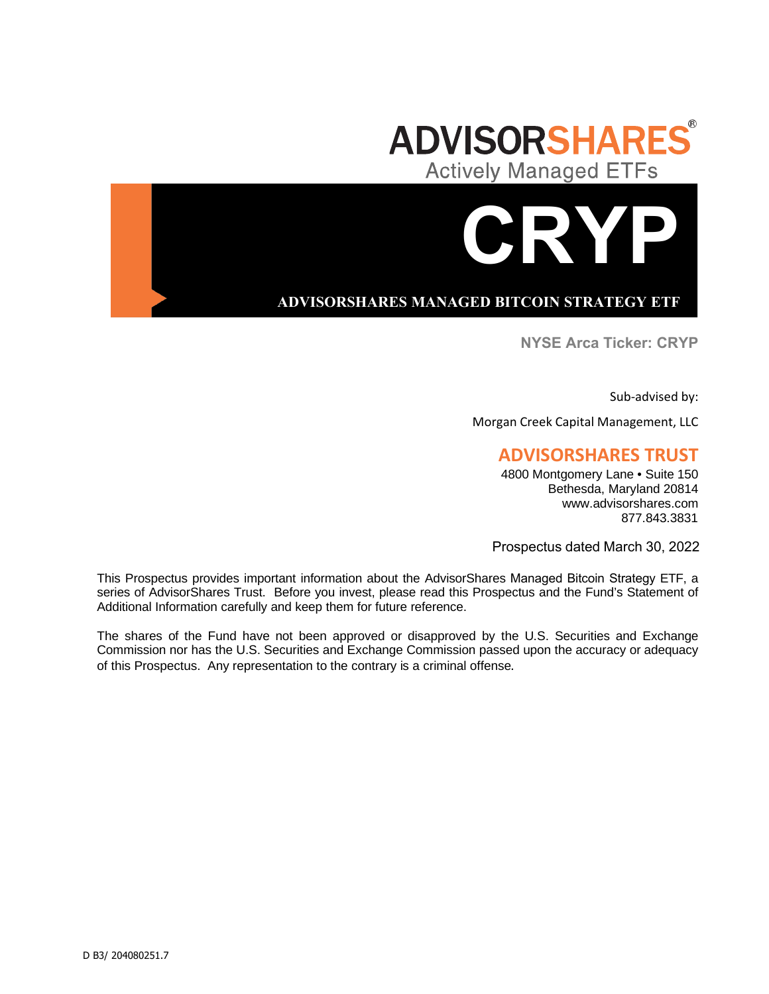

# **ADVISORSHARES MANAGED BITCOIN STRATEGY ETF**

**NYSE Arca Ticker: CRYP** 

**CRYP**

Sub-advised by:

Morgan Creek Capital Management, LLC

# **ADVISORSHARES TRUST**

4800 Montgomery Lane • Suite 150 Bethesda, Maryland 20814 www.advisorshares.com 877.843.3831

Prospectus dated March 30, 2022

This Prospectus provides important information about the AdvisorShares Managed Bitcoin Strategy ETF, a series of AdvisorShares Trust. Before you invest, please read this Prospectus and the Fund's Statement of Additional Information carefully and keep them for future reference.

The shares of the Fund have not been approved or disapproved by the U.S. Securities and Exchange Commission nor has the U.S. Securities and Exchange Commission passed upon the accuracy or adequacy of this Prospectus. Any representation to the contrary is a criminal offense.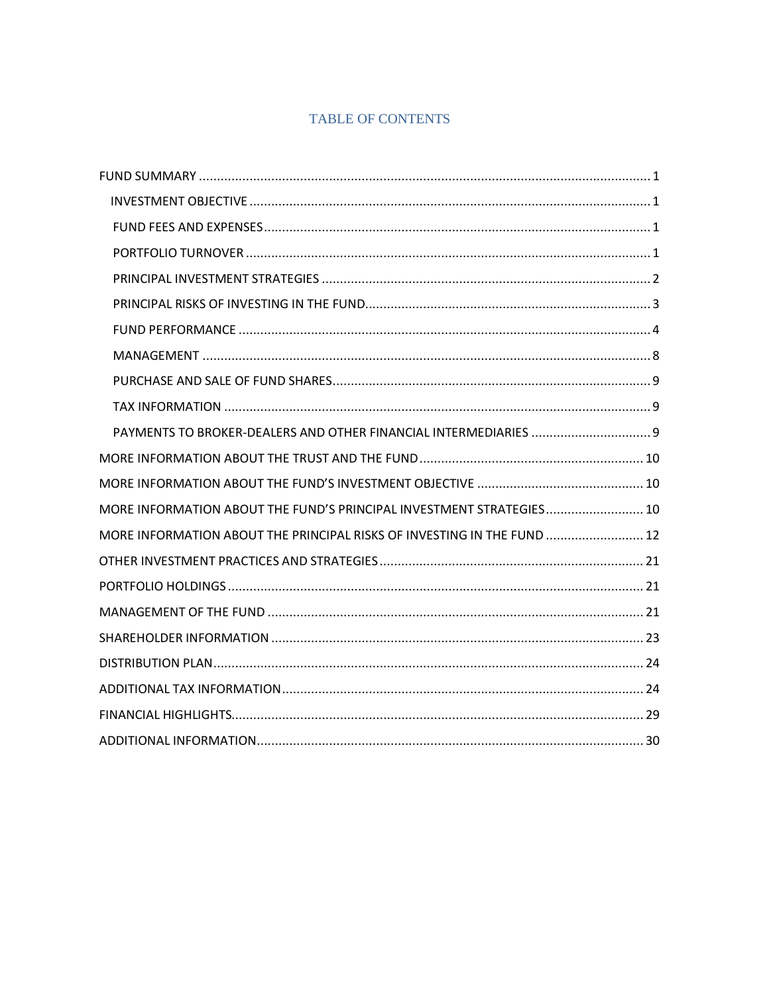# **TABLE OF CONTENTS**

| PAYMENTS TO BROKER-DEALERS AND OTHER FINANCIAL INTERMEDIARIES  9        |  |
|-------------------------------------------------------------------------|--|
|                                                                         |  |
|                                                                         |  |
| MORE INFORMATION ABOUT THE FUND'S PRINCIPAL INVESTMENT STRATEGIES 10    |  |
| MORE INFORMATION ABOUT THE PRINCIPAL RISKS OF INVESTING IN THE FUND  12 |  |
|                                                                         |  |
|                                                                         |  |
|                                                                         |  |
|                                                                         |  |
|                                                                         |  |
|                                                                         |  |
|                                                                         |  |
|                                                                         |  |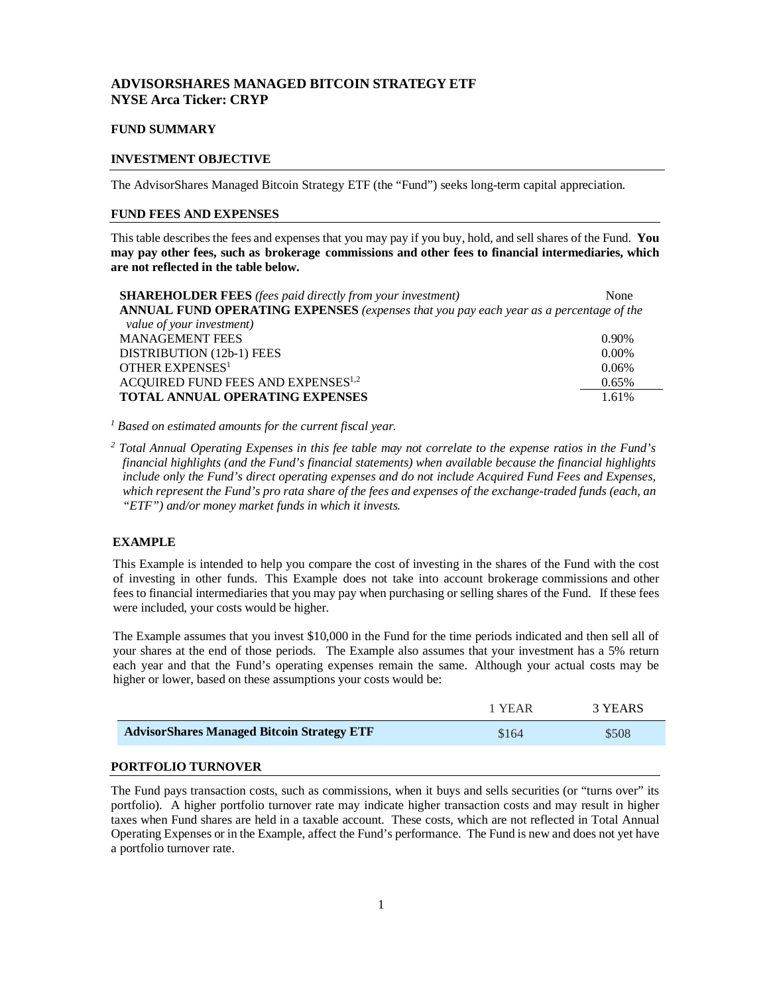# **ADVISORSHARES MANAGED BITCOIN STRATEGY ETF NYSE Arca Ticker: CRYP**

#### <span id="page-2-0"></span>**FUND SUMMARY**

# <span id="page-2-1"></span>**INVESTMENT OBJECTIVE**

The AdvisorShares Managed Bitcoin Strategy ETF (the "Fund") seeks long-term capital appreciation.

# <span id="page-2-2"></span>**FUND FEES AND EXPENSES**

This table describes the fees and expenses that you may pay if you buy, hold, and sell shares of the Fund. **You may pay other fees, such as brokerage commissions and other fees to financial intermediaries, which are not reflected in the table below.**

| <b>SHAREHOLDER FEES</b> (fees paid directly from your investment)                      | None     |
|----------------------------------------------------------------------------------------|----------|
| ANNUAL FUND OPERATING EXPENSES (expenses that you pay each year as a percentage of the |          |
| value of your investment)                                                              |          |
| <b>MANAGEMENT FEES</b>                                                                 | $0.90\%$ |
| DISTRIBUTION (12b-1) FEES                                                              | $0.00\%$ |
| OTHER EXPENSES <sup>1</sup>                                                            | 0.06%    |
| ACQUIRED FUND FEES AND EXPENSES <sup>1,2</sup>                                         | 0.65%    |
| <b>TOTAL ANNUAL OPERATING EXPENSES</b>                                                 | 1.61%    |

*1 Based on estimated amounts for the current fiscal year.*

*<sup>2</sup> Total Annual Operating Expenses in this fee table may not correlate to the expense ratios in the Fund's financial highlights (and the Fund's financial statements) when available because the financial highlights include only the Fund's direct operating expenses and do not include Acquired Fund Fees and Expenses, which represent the Fund's pro rata share of the fees and expenses of the exchange-traded funds (each, an "ETF") and/or money market funds in which it invests.*

# **EXAMPLE**

This Example is intended to help you compare the cost of investing in the shares of the Fund with the cost of investing in other funds. This Example does not take into account brokerage commissions and other fees to financial intermediaries that you may pay when purchasing or selling shares of the Fund. If these fees were included, your costs would be higher.

The Example assumes that you invest \$10,000 in the Fund for the time periods indicated and then sell all of your shares at the end of those periods. The Example also assumes that your investment has a 5% return each year and that the Fund's operating expenses remain the same. Although your actual costs may be higher or lower, based on these assumptions your costs would be:

|                                                   | 1 YEAR | 3 YEARS |
|---------------------------------------------------|--------|---------|
| <b>AdvisorShares Managed Bitcoin Strategy ETF</b> | \$164  | \$508   |
|                                                   |        |         |

# <span id="page-2-3"></span>**PORTFOLIO TURNOVER**

The Fund pays transaction costs, such as commissions, when it buys and sells securities (or "turns over" its portfolio). A higher portfolio turnover rate may indicate higher transaction costs and may result in higher taxes when Fund shares are held in a taxable account. These costs, which are not reflected in Total Annual Operating Expenses or in the Example, affect the Fund's performance. The Fund is new and does not yet have a portfolio turnover rate.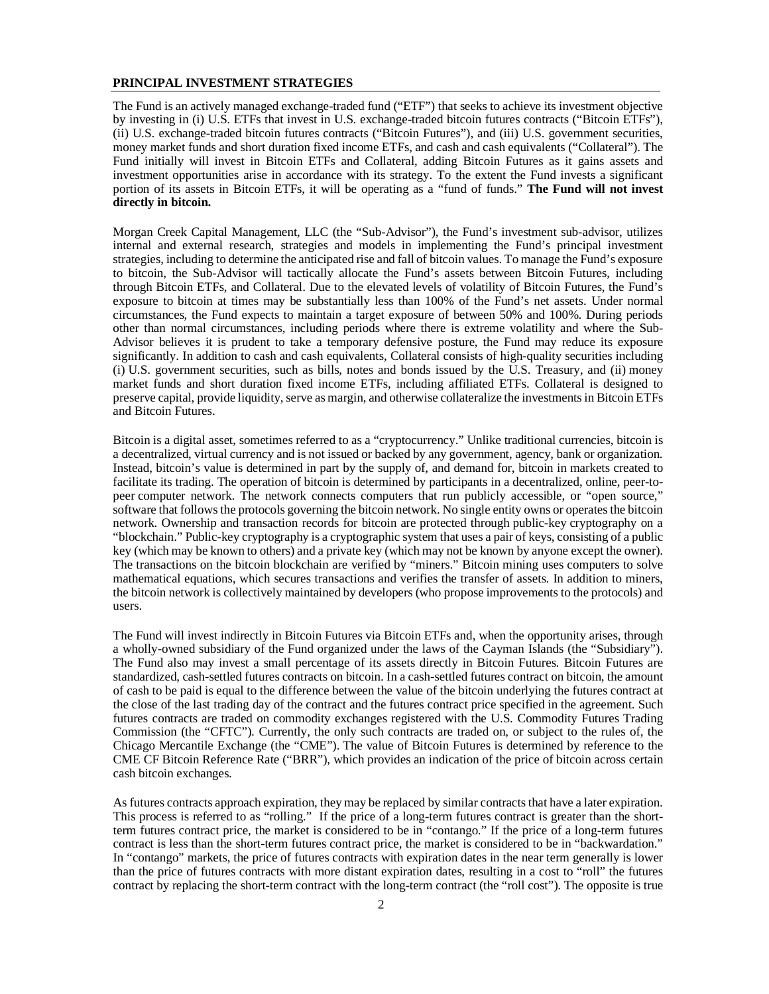#### <span id="page-3-0"></span>**PRINCIPAL INVESTMENT STRATEGIES**

The Fund is an actively managed exchange-traded fund ("ETF") that seeks to achieve its investment objective by investing in (i) U.S. ETFs that invest in U.S. exchange-traded bitcoin futures contracts ("Bitcoin ETFs"), (ii) U.S. exchange-traded bitcoin futures contracts ("Bitcoin Futures"), and (iii) U.S. government securities, money market funds and short duration fixed income ETFs, and cash and cash equivalents ("Collateral"). The Fund initially will invest in Bitcoin ETFs and Collateral, adding Bitcoin Futures as it gains assets and investment opportunities arise in accordance with its strategy. To the extent the Fund invests a significant portion of its assets in Bitcoin ETFs, it will be operating as a "fund of funds." **The Fund will not invest directly in bitcoin.**

Morgan Creek Capital Management, LLC (the "Sub-Advisor"), the Fund's investment sub-advisor, utilizes internal and external research, strategies and models in implementing the Fund's principal investment strategies, including to determine the anticipated rise and fall of bitcoin values. To manage the Fund's exposure to bitcoin, the Sub-Advisor will tactically allocate the Fund's assets between Bitcoin Futures, including through Bitcoin ETFs, and Collateral. Due to the elevated levels of volatility of Bitcoin Futures, the Fund's exposure to bitcoin at times may be substantially less than 100% of the Fund's net assets. Under normal circumstances, the Fund expects to maintain a target exposure of between 50% and 100%. During periods other than normal circumstances, including periods where there is extreme volatility and where the Sub-Advisor believes it is prudent to take a temporary defensive posture, the Fund may reduce its exposure significantly. In addition to cash and cash equivalents, Collateral consists of high-quality securities including (i) U.S. government securities, such as bills, notes and bonds issued by the U.S. Treasury, and (ii) money market funds and short duration fixed income ETFs, including affiliated ETFs. Collateral is designed to preserve capital, provide liquidity, serve as margin, and otherwise collateralize the investments in Bitcoin ETFs and Bitcoin Futures.

Bitcoin is a digital asset, sometimes referred to as a "cryptocurrency." Unlike traditional currencies, bitcoin is a decentralized, virtual currency and is not issued or backed by any government, agency, bank or organization. Instead, bitcoin's value is determined in part by the supply of, and demand for, bitcoin in markets created to facilitate its trading. The operation of bitcoin is determined by participants in a decentralized, online, peer-topeer computer network. The network connects computers that run publicly accessible, or "open source," software that follows the protocols governing the bitcoin network. No single entity owns or operates the bitcoin network. Ownership and transaction records for bitcoin are protected through public-key cryptography on a "blockchain." Public-key cryptography is a cryptographic system that uses a pair of keys, consisting of a public key (which may be known to others) and a private key (which may not be known by anyone except the owner). The transactions on the bitcoin blockchain are verified by "miners." Bitcoin mining uses computers to solve mathematical equations, which secures transactions and verifies the transfer of assets. In addition to miners, the bitcoin network is collectively maintained by developers (who propose improvements to the protocols) and users.

The Fund will invest indirectly in Bitcoin Futures via Bitcoin ETFs and, when the opportunity arises, through a wholly-owned subsidiary of the Fund organized under the laws of the Cayman Islands (the "Subsidiary"). The Fund also may invest a small percentage of its assets directly in Bitcoin Futures. Bitcoin Futures are standardized, cash-settled futures contracts on bitcoin. In a cash-settled futures contract on bitcoin, the amount of cash to be paid is equal to the difference between the value of the bitcoin underlying the futures contract at the close of the last trading day of the contract and the futures contract price specified in the agreement. Such futures contracts are traded on commodity exchanges registered with the U.S. Commodity Futures Trading Commission (the "CFTC"). Currently, the only such contracts are traded on, or subject to the rules of, the Chicago Mercantile Exchange (the "CME"). The value of Bitcoin Futures is determined by reference to the CME CF Bitcoin Reference Rate ("BRR"), which provides an indication of the price of bitcoin across certain cash bitcoin exchanges.

As futures contracts approach expiration, they may be replaced by similar contracts that have a later expiration. This process is referred to as "rolling." If the price of a long-term futures contract is greater than the shortterm futures contract price, the market is considered to be in "contango." If the price of a long-term futures contract is less than the short-term futures contract price, the market is considered to be in "backwardation." In "contango" markets, the price of futures contracts with expiration dates in the near term generally is lower than the price of futures contracts with more distant expiration dates, resulting in a cost to "roll" the futures contract by replacing the short-term contract with the long-term contract (the "roll cost"). The opposite is true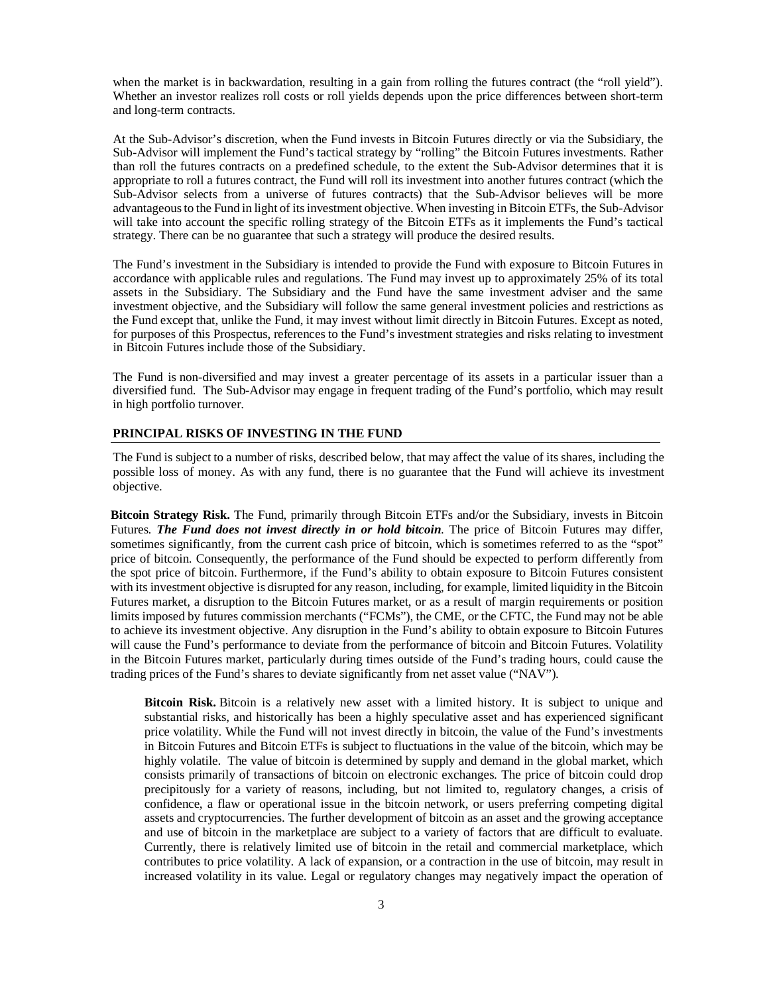when the market is in backwardation, resulting in a gain from rolling the futures contract (the "roll yield"). Whether an investor realizes roll costs or roll yields depends upon the price differences between short-term and long-term contracts.

At the Sub-Advisor's discretion, when the Fund invests in Bitcoin Futures directly or via the Subsidiary, the Sub-Advisor will implement the Fund's tactical strategy by "rolling" the Bitcoin Futures investments. Rather than roll the futures contracts on a predefined schedule, to the extent the Sub-Advisor determines that it is appropriate to roll a futures contract, the Fund will roll its investment into another futures contract (which the Sub-Advisor selects from a universe of futures contracts) that the Sub-Advisor believes will be more advantageous to the Fund in light of its investment objective. When investing in Bitcoin ETFs, the Sub-Advisor will take into account the specific rolling strategy of the Bitcoin ETFs as it implements the Fund's tactical strategy. There can be no guarantee that such a strategy will produce the desired results.

The Fund's investment in the Subsidiary is intended to provide the Fund with exposure to Bitcoin Futures in accordance with applicable rules and regulations. The Fund may invest up to approximately 25% of its total assets in the Subsidiary. The Subsidiary and the Fund have the same investment adviser and the same investment objective, and the Subsidiary will follow the same general investment policies and restrictions as the Fund except that, unlike the Fund, it may invest without limit directly in Bitcoin Futures. Except as noted, for purposes of this Prospectus, references to the Fund's investment strategies and risks relating to investment in Bitcoin Futures include those of the Subsidiary.

The Fund is non-diversified and may invest a greater percentage of its assets in a particular issuer than a diversified fund. The Sub-Advisor may engage in frequent trading of the Fund's portfolio, which may result in high portfolio turnover.

#### <span id="page-4-0"></span>**PRINCIPAL RISKS OF INVESTING IN THE FUND**

The Fund is subject to a number of risks, described below, that may affect the value of its shares, including the possible loss of money. As with any fund, there is no guarantee that the Fund will achieve its investment objective.

**Bitcoin Strategy Risk.** The Fund, primarily through Bitcoin ETFs and/or the Subsidiary, invests in Bitcoin Futures. *The Fund does not invest directly in or hold bitcoin*. The price of Bitcoin Futures may differ, sometimes significantly, from the current cash price of bitcoin, which is sometimes referred to as the "spot" price of bitcoin. Consequently, the performance of the Fund should be expected to perform differently from the spot price of bitcoin. Furthermore, if the Fund's ability to obtain exposure to Bitcoin Futures consistent with its investment objective is disrupted for any reason, including, for example, limited liquidity in the Bitcoin Futures market, a disruption to the Bitcoin Futures market, or as a result of margin requirements or position limits imposed by futures commission merchants ("FCMs"), the CME, or the CFTC, the Fund may not be able to achieve its investment objective. Any disruption in the Fund's ability to obtain exposure to Bitcoin Futures will cause the Fund's performance to deviate from the performance of bitcoin and Bitcoin Futures. Volatility in the Bitcoin Futures market, particularly during times outside of the Fund's trading hours, could cause the trading prices of the Fund's shares to deviate significantly from net asset value ("NAV").

**Bitcoin Risk.** Bitcoin is a relatively new asset with a limited history. It is subject to unique and substantial risks, and historically has been a highly speculative asset and has experienced significant price volatility. While the Fund will not invest directly in bitcoin, the value of the Fund's investments in Bitcoin Futures and Bitcoin ETFs is subject to fluctuations in the value of the bitcoin, which may be highly volatile. The value of bitcoin is determined by supply and demand in the global market, which consists primarily of transactions of bitcoin on electronic exchanges. The price of bitcoin could drop precipitously for a variety of reasons, including, but not limited to, regulatory changes, a crisis of confidence, a flaw or operational issue in the bitcoin network, or users preferring competing digital assets and cryptocurrencies. The further development of bitcoin as an asset and the growing acceptance and use of bitcoin in the marketplace are subject to a variety of factors that are difficult to evaluate. Currently, there is relatively limited use of bitcoin in the retail and commercial marketplace, which contributes to price volatility. A lack of expansion, or a contraction in the use of bitcoin, may result in increased volatility in its value. Legal or regulatory changes may negatively impact the operation of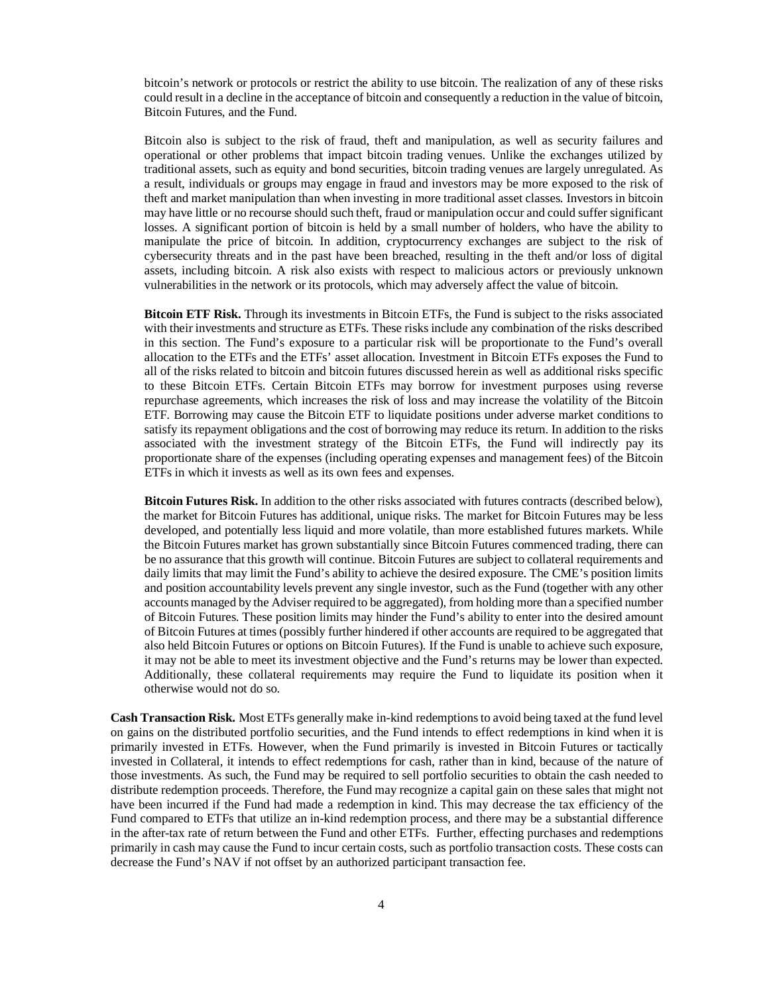bitcoin's network or protocols or restrict the ability to use bitcoin. The realization of any of these risks could result in a decline in the acceptance of bitcoin and consequently a reduction in the value of bitcoin, Bitcoin Futures, and the Fund.

Bitcoin also is subject to the risk of fraud, theft and manipulation, as well as security failures and operational or other problems that impact bitcoin trading venues. Unlike the exchanges utilized by traditional assets, such as equity and bond securities, bitcoin trading venues are largely unregulated. As a result, individuals or groups may engage in fraud and investors may be more exposed to the risk of theft and market manipulation than when investing in more traditional asset classes. Investors in bitcoin may have little or no recourse should such theft, fraud or manipulation occur and could suffer significant losses. A significant portion of bitcoin is held by a small number of holders, who have the ability to manipulate the price of bitcoin. In addition, cryptocurrency exchanges are subject to the risk of cybersecurity threats and in the past have been breached, resulting in the theft and/or loss of digital assets, including bitcoin. A risk also exists with respect to malicious actors or previously unknown vulnerabilities in the network or its protocols, which may adversely affect the value of bitcoin.

**Bitcoin ETF Risk.** Through its investments in Bitcoin ETFs, the Fund is subject to the risks associated with their investments and structure as ETFs. These risks include any combination of the risks described in this section. The Fund's exposure to a particular risk will be proportionate to the Fund's overall allocation to the ETFs and the ETFs' asset allocation. Investment in Bitcoin ETFs exposes the Fund to all of the risks related to bitcoin and bitcoin futures discussed herein as well as additional risks specific to these Bitcoin ETFs. Certain Bitcoin ETFs may borrow for investment purposes using reverse repurchase agreements, which increases the risk of loss and may increase the volatility of the Bitcoin ETF. Borrowing may cause the Bitcoin ETF to liquidate positions under adverse market conditions to satisfy its repayment obligations and the cost of borrowing may reduce its return. In addition to the risks associated with the investment strategy of the Bitcoin ETFs, the Fund will indirectly pay its proportionate share of the expenses (including operating expenses and management fees) of the Bitcoin ETFs in which it invests as well as its own fees and expenses.

**Bitcoin Futures Risk.** In addition to the other risks associated with futures contracts (described below), the market for Bitcoin Futures has additional, unique risks. The market for Bitcoin Futures may be less developed, and potentially less liquid and more volatile, than more established futures markets. While the Bitcoin Futures market has grown substantially since Bitcoin Futures commenced trading, there can be no assurance that this growth will continue. Bitcoin Futures are subject to collateral requirements and daily limits that may limit the Fund's ability to achieve the desired exposure. The CME's position limits and position accountability levels prevent any single investor, such as the Fund (together with any other accounts managed by the Adviser required to be aggregated), from holding more than a specified number of Bitcoin Futures. These position limits may hinder the Fund's ability to enter into the desired amount of Bitcoin Futures at times (possibly further hindered if other accounts are required to be aggregated that also held Bitcoin Futures or options on Bitcoin Futures). If the Fund is unable to achieve such exposure, it may not be able to meet its investment objective and the Fund's returns may be lower than expected. Additionally, these collateral requirements may require the Fund to liquidate its position when it otherwise would not do so.

**Cash Transaction Risk.** Most ETFs generally make in-kind redemptions to avoid being taxed at the fund level on gains on the distributed portfolio securities, and the Fund intends to effect redemptions in kind when it is primarily invested in ETFs. However, when the Fund primarily is invested in Bitcoin Futures or tactically invested in Collateral, it intends to effect redemptions for cash, rather than in kind, because of the nature of those investments. As such, the Fund may be required to sell portfolio securities to obtain the cash needed to distribute redemption proceeds. Therefore, the Fund may recognize a capital gain on these sales that might not have been incurred if the Fund had made a redemption in kind. This may decrease the tax efficiency of the Fund compared to ETFs that utilize an in-kind redemption process, and there may be a substantial difference in the after-tax rate of return between the Fund and other ETFs. Further, effecting purchases and redemptions primarily in cash may cause the Fund to incur certain costs, such as portfolio transaction costs. These costs can decrease the Fund's NAV if not offset by an authorized participant transaction fee.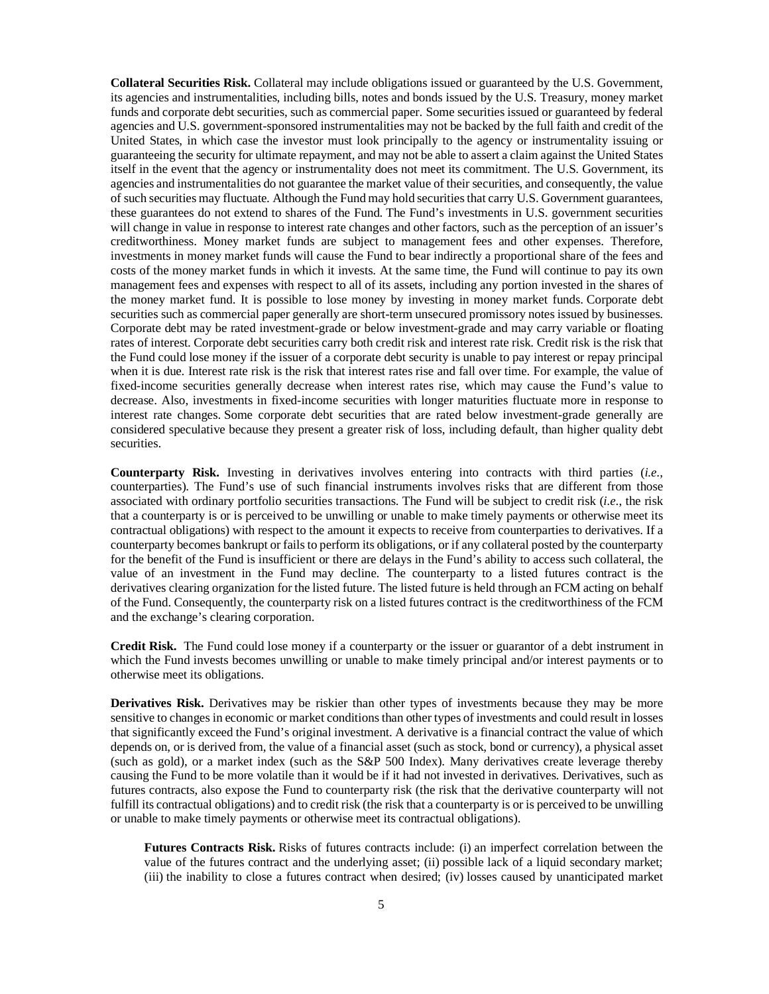**Collateral Securities Risk.** Collateral may include obligations issued or guaranteed by the U.S. Government, its agencies and instrumentalities, including bills, notes and bonds issued by the U.S. Treasury, money market funds and corporate debt securities, such as commercial paper. Some securities issued or guaranteed by federal agencies and U.S. government-sponsored instrumentalities may not be backed by the full faith and credit of the United States, in which case the investor must look principally to the agency or instrumentality issuing or guaranteeing the security for ultimate repayment, and may not be able to assert a claim against the United States itself in the event that the agency or instrumentality does not meet its commitment. The U.S. Government, its agencies and instrumentalities do not guarantee the market value of their securities, and consequently, the value of such securities may fluctuate. Although the Fund may hold securities that carry U.S. Government guarantees, these guarantees do not extend to shares of the Fund. The Fund's investments in U.S. government securities will change in value in response to interest rate changes and other factors, such as the perception of an issuer's creditworthiness. Money market funds are subject to management fees and other expenses. Therefore, investments in money market funds will cause the Fund to bear indirectly a proportional share of the fees and costs of the money market funds in which it invests. At the same time, the Fund will continue to pay its own management fees and expenses with respect to all of its assets, including any portion invested in the shares of the money market fund. It is possible to lose money by investing in money market funds. Corporate debt securities such as commercial paper generally are short-term unsecured promissory notes issued by businesses. Corporate debt may be rated investment-grade or below investment-grade and may carry variable or floating rates of interest. Corporate debt securities carry both credit risk and interest rate risk. Credit risk is the risk that the Fund could lose money if the issuer of a corporate debt security is unable to pay interest or repay principal when it is due. Interest rate risk is the risk that interest rates rise and fall over time. For example, the value of fixed-income securities generally decrease when interest rates rise, which may cause the Fund's value to decrease. Also, investments in fixed-income securities with longer maturities fluctuate more in response to interest rate changes. Some corporate debt securities that are rated below investment-grade generally are considered speculative because they present a greater risk of loss, including default, than higher quality debt securities.

**Counterparty Risk.** Investing in derivatives involves entering into contracts with third parties (*i.e.*, counterparties). The Fund's use of such financial instruments involves risks that are different from those associated with ordinary portfolio securities transactions. The Fund will be subject to credit risk (*i.e*., the risk that a counterparty is or is perceived to be unwilling or unable to make timely payments or otherwise meet its contractual obligations) with respect to the amount it expects to receive from counterparties to derivatives. If a counterparty becomes bankrupt or fails to perform its obligations, or if any collateral posted by the counterparty for the benefit of the Fund is insufficient or there are delays in the Fund's ability to access such collateral, the value of an investment in the Fund may decline. The counterparty to a listed futures contract is the derivatives clearing organization for the listed future. The listed future is held through an FCM acting on behalf of the Fund. Consequently, the counterparty risk on a listed futures contract is the creditworthiness of the FCM and the exchange's clearing corporation.

**Credit Risk.** The Fund could lose money if a counterparty or the issuer or guarantor of a debt instrument in which the Fund invests becomes unwilling or unable to make timely principal and/or interest payments or to otherwise meet its obligations.

**Derivatives Risk.** Derivatives may be riskier than other types of investments because they may be more sensitive to changes in economic or market conditions than other types of investments and could result in losses that significantly exceed the Fund's original investment. A derivative is a financial contract the value of which depends on, or is derived from, the value of a financial asset (such as stock, bond or currency), a physical asset (such as gold), or a market index (such as the S&P 500 Index). Many derivatives create leverage thereby causing the Fund to be more volatile than it would be if it had not invested in derivatives. Derivatives, such as futures contracts, also expose the Fund to counterparty risk (the risk that the derivative counterparty will not fulfill its contractual obligations) and to credit risk (the risk that a counterparty is or is perceived to be unwilling or unable to make timely payments or otherwise meet its contractual obligations).

**Futures Contracts Risk.** Risks of futures contracts include: (i) an imperfect correlation between the value of the futures contract and the underlying asset; (ii) possible lack of a liquid secondary market; (iii) the inability to close a futures contract when desired; (iv) losses caused by unanticipated market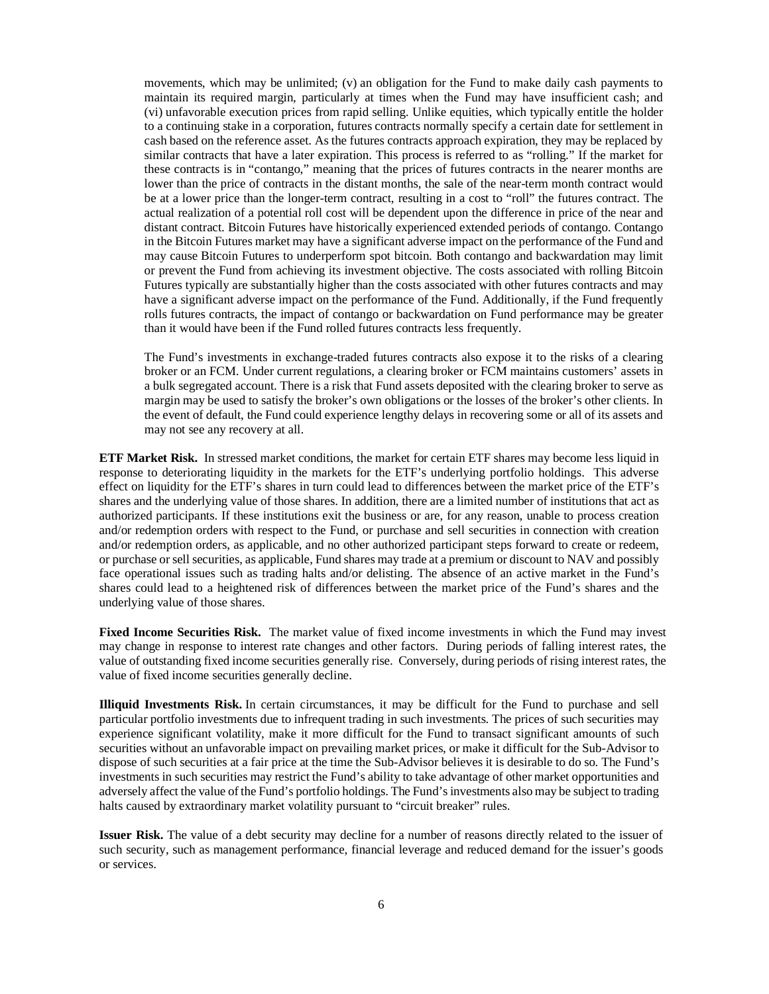movements, which may be unlimited; (v) an obligation for the Fund to make daily cash payments to maintain its required margin, particularly at times when the Fund may have insufficient cash; and (vi) unfavorable execution prices from rapid selling. Unlike equities, which typically entitle the holder to a continuing stake in a corporation, futures contracts normally specify a certain date for settlement in cash based on the reference asset. As the futures contracts approach expiration, they may be replaced by similar contracts that have a later expiration. This process is referred to as "rolling." If the market for these contracts is in "contango," meaning that the prices of futures contracts in the nearer months are lower than the price of contracts in the distant months, the sale of the near-term month contract would be at a lower price than the longer-term contract, resulting in a cost to "roll" the futures contract. The actual realization of a potential roll cost will be dependent upon the difference in price of the near and distant contract. Bitcoin Futures have historically experienced extended periods of contango. Contango in the Bitcoin Futures market may have a significant adverse impact on the performance of the Fund and may cause Bitcoin Futures to underperform spot bitcoin. Both contango and backwardation may limit or prevent the Fund from achieving its investment objective. The costs associated with rolling Bitcoin Futures typically are substantially higher than the costs associated with other futures contracts and may have a significant adverse impact on the performance of the Fund. Additionally, if the Fund frequently rolls futures contracts, the impact of contango or backwardation on Fund performance may be greater than it would have been if the Fund rolled futures contracts less frequently.

The Fund's investments in exchange-traded futures contracts also expose it to the risks of a clearing broker or an FCM. Under current regulations, a clearing broker or FCM maintains customers' assets in a bulk segregated account. There is a risk that Fund assets deposited with the clearing broker to serve as margin may be used to satisfy the broker's own obligations or the losses of the broker's other clients. In the event of default, the Fund could experience lengthy delays in recovering some or all of its assets and may not see any recovery at all.

**ETF Market Risk.** In stressed market conditions, the market for certain ETF shares may become less liquid in response to deteriorating liquidity in the markets for the ETF's underlying portfolio holdings. This adverse effect on liquidity for the ETF's shares in turn could lead to differences between the market price of the ETF's shares and the underlying value of those shares. In addition, there are a limited number of institutions that act as authorized participants. If these institutions exit the business or are, for any reason, unable to process creation and/or redemption orders with respect to the Fund, or purchase and sell securities in connection with creation and/or redemption orders, as applicable, and no other authorized participant steps forward to create or redeem, or purchase or sell securities, as applicable, Fund shares may trade at a premium or discount to NAV and possibly face operational issues such as trading halts and/or delisting. The absence of an active market in the Fund's shares could lead to a heightened risk of differences between the market price of the Fund's shares and the underlying value of those shares.

**Fixed Income Securities Risk.** The market value of fixed income investments in which the Fund may invest may change in response to interest rate changes and other factors. During periods of falling interest rates, the value of outstanding fixed income securities generally rise. Conversely, during periods of rising interest rates, the value of fixed income securities generally decline.

**Illiquid Investments Risk.** In certain circumstances, it may be difficult for the Fund to purchase and sell particular portfolio investments due to infrequent trading in such investments. The prices of such securities may experience significant volatility, make it more difficult for the Fund to transact significant amounts of such securities without an unfavorable impact on prevailing market prices, or make it difficult for the Sub-Advisor to dispose of such securities at a fair price at the time the Sub-Advisor believes it is desirable to do so. The Fund's investments in such securities may restrict the Fund's ability to take advantage of other market opportunities and adversely affect the value of the Fund's portfolio holdings. The Fund's investments also may be subject to trading halts caused by extraordinary market volatility pursuant to "circuit breaker" rules.

**Issuer Risk.** The value of a debt security may decline for a number of reasons directly related to the issuer of such security, such as management performance, financial leverage and reduced demand for the issuer's goods or services.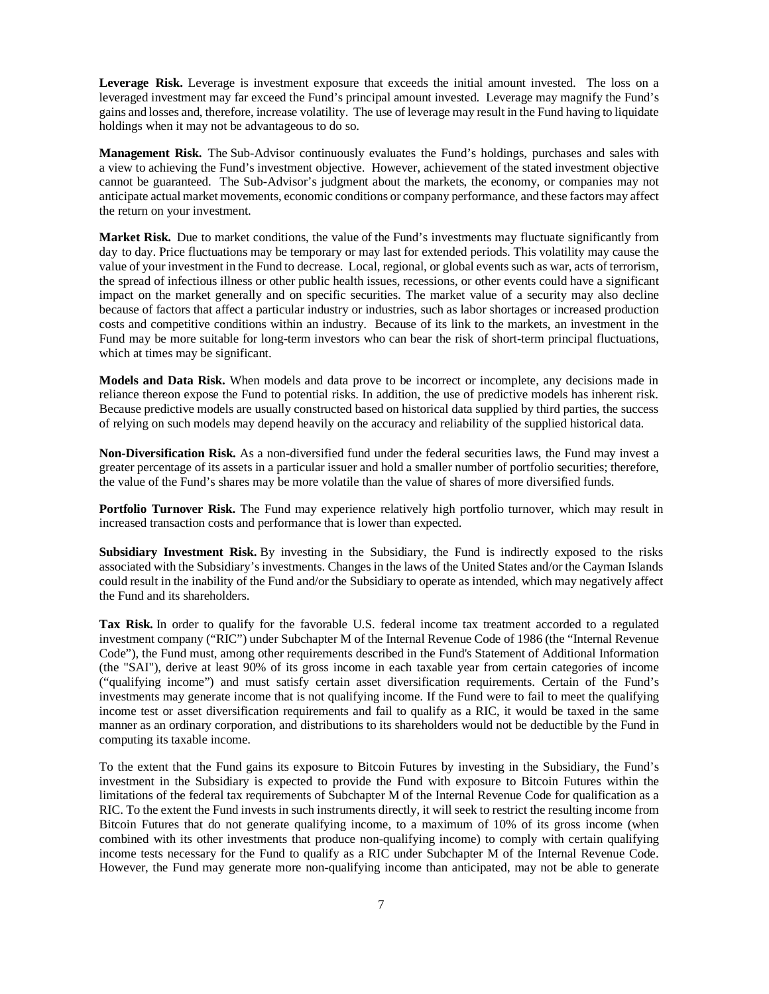**Leverage Risk.** Leverage is investment exposure that exceeds the initial amount invested. The loss on a leveraged investment may far exceed the Fund's principal amount invested. Leverage may magnify the Fund's gains and losses and, therefore, increase volatility. The use of leverage may result in the Fund having to liquidate holdings when it may not be advantageous to do so.

**Management Risk.** The Sub-Advisor continuously evaluates the Fund's holdings, purchases and sales with a view to achieving the Fund's investment objective. However, achievement of the stated investment objective cannot be guaranteed. The Sub-Advisor's judgment about the markets, the economy, or companies may not anticipate actual market movements, economic conditions or company performance, and these factors may affect the return on your investment.

**Market Risk.** Due to market conditions, the value of the Fund's investments may fluctuate significantly from day to day. Price fluctuations may be temporary or may last for extended periods. This volatility may cause the value of your investment in the Fund to decrease. Local, regional, or global events such as war, acts of terrorism, the spread of infectious illness or other public health issues, recessions, or other events could have a significant impact on the market generally and on specific securities. The market value of a security may also decline because of factors that affect a particular industry or industries, such as labor shortages or increased production costs and competitive conditions within an industry. Because of its link to the markets, an investment in the Fund may be more suitable for long-term investors who can bear the risk of short-term principal fluctuations, which at times may be significant.

**Models and Data Risk.** When models and data prove to be incorrect or incomplete, any decisions made in reliance thereon expose the Fund to potential risks. In addition, the use of predictive models has inherent risk. Because predictive models are usually constructed based on historical data supplied by third parties, the success of relying on such models may depend heavily on the accuracy and reliability of the supplied historical data.

**Non-Diversification Risk.** As a non-diversified fund under the federal securities laws, the Fund may invest a greater percentage of its assets in a particular issuer and hold a smaller number of portfolio securities; therefore, the value of the Fund's shares may be more volatile than the value of shares of more diversified funds.

**Portfolio Turnover Risk.** The Fund may experience relatively high portfolio turnover, which may result in increased transaction costs and performance that is lower than expected.

**Subsidiary Investment Risk.** By investing in the Subsidiary, the Fund is indirectly exposed to the risks associated with the Subsidiary's investments. Changes in the laws of the United States and/or the Cayman Islands could result in the inability of the Fund and/or the Subsidiary to operate as intended, which may negatively affect the Fund and its shareholders.

**Tax Risk.** In order to qualify for the favorable U.S. federal income tax treatment accorded to a regulated investment company ("RIC") under Subchapter M of the Internal Revenue Code of 1986 (the "Internal Revenue Code"), the Fund must, among other requirements described in the Fund's Statement of Additional Information (the "SAI"), derive at least 90% of its gross income in each taxable year from certain categories of income ("qualifying income") and must satisfy certain asset diversification requirements. Certain of the Fund's investments may generate income that is not qualifying income. If the Fund were to fail to meet the qualifying income test or asset diversification requirements and fail to qualify as a RIC, it would be taxed in the same manner as an ordinary corporation, and distributions to its shareholders would not be deductible by the Fund in computing its taxable income.

To the extent that the Fund gains its exposure to Bitcoin Futures by investing in the Subsidiary, the Fund's investment in the Subsidiary is expected to provide the Fund with exposure to Bitcoin Futures within the limitations of the federal tax requirements of Subchapter M of the Internal Revenue Code for qualification as a RIC. To the extent the Fund invests in such instruments directly, it will seek to restrict the resulting income from Bitcoin Futures that do not generate qualifying income, to a maximum of 10% of its gross income (when combined with its other investments that produce non-qualifying income) to comply with certain qualifying income tests necessary for the Fund to qualify as a RIC under Subchapter M of the Internal Revenue Code. However, the Fund may generate more non-qualifying income than anticipated, may not be able to generate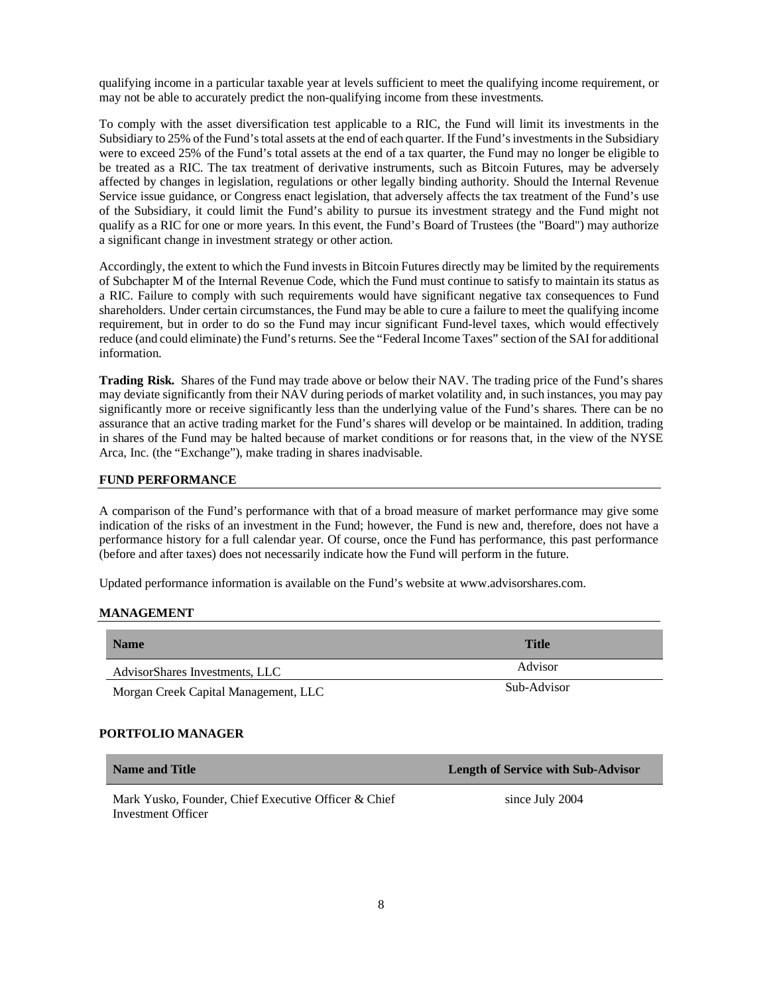qualifying income in a particular taxable year at levels sufficient to meet the qualifying income requirement, or may not be able to accurately predict the non-qualifying income from these investments.

To comply with the asset diversification test applicable to a RIC, the Fund will limit its investments in the Subsidiary to 25% of the Fund's total assets at the end of each quarter. If the Fund's investments in the Subsidiary were to exceed 25% of the Fund's total assets at the end of a tax quarter, the Fund may no longer be eligible to be treated as a RIC. The tax treatment of derivative instruments, such as Bitcoin Futures, may be adversely affected by changes in legislation, regulations or other legally binding authority. Should the Internal Revenue Service issue guidance, or Congress enact legislation, that adversely affects the tax treatment of the Fund's use of the Subsidiary, it could limit the Fund's ability to pursue its investment strategy and the Fund might not qualify as a RIC for one or more years. In this event, the Fund's Board of Trustees (the "Board") may authorize a significant change in investment strategy or other action.

Accordingly, the extent to which the Fund invests in Bitcoin Futures directly may be limited by the requirements of Subchapter M of the Internal Revenue Code, which the Fund must continue to satisfy to maintain its status as a RIC. Failure to comply with such requirements would have significant negative tax consequences to Fund shareholders. Under certain circumstances, the Fund may be able to cure a failure to meet the qualifying income requirement, but in order to do so the Fund may incur significant Fund-level taxes, which would effectively reduce (and could eliminate) the Fund's returns. See the "Federal Income Taxes" section of the SAI for additional information.

**Trading Risk.** Shares of the Fund may trade above or below their NAV. The trading price of the Fund's shares may deviate significantly from their NAV during periods of market volatility and, in such instances, you may pay significantly more or receive significantly less than the underlying value of the Fund's shares. There can be no assurance that an active trading market for the Fund's shares will develop or be maintained. In addition, trading in shares of the Fund may be halted because of market conditions or for reasons that, in the view of the NYSE Arca, Inc. (the "Exchange"), make trading in shares inadvisable.

#### **FUND PERFORMANCE**

A comparison of the Fund's performance with that of a broad measure of market performance may give some indication of the risks of an investment in the Fund; however, the Fund is new and, therefore, does not have a performance history for a full calendar year. Of course, once the Fund has performance, this past performance (before and after taxes) does not necessarily indicate how the Fund will perform in the future.

Updated performance information is available on the Fund's website at www.advisorshares.com.

#### <span id="page-9-0"></span>**MANAGEMENT**

| <b>Name</b>                          | Title       |
|--------------------------------------|-------------|
| AdvisorShares Investments, LLC       | Advisor     |
| Morgan Creek Capital Management, LLC | Sub-Advisor |

# **PORTFOLIO MANAGER**

| <b>Name and Title</b>                                                      | <b>Length of Service with Sub-Advisor</b> |
|----------------------------------------------------------------------------|-------------------------------------------|
| Mark Yusko, Founder, Chief Executive Officer & Chief<br>Investment Officer | since July 2004                           |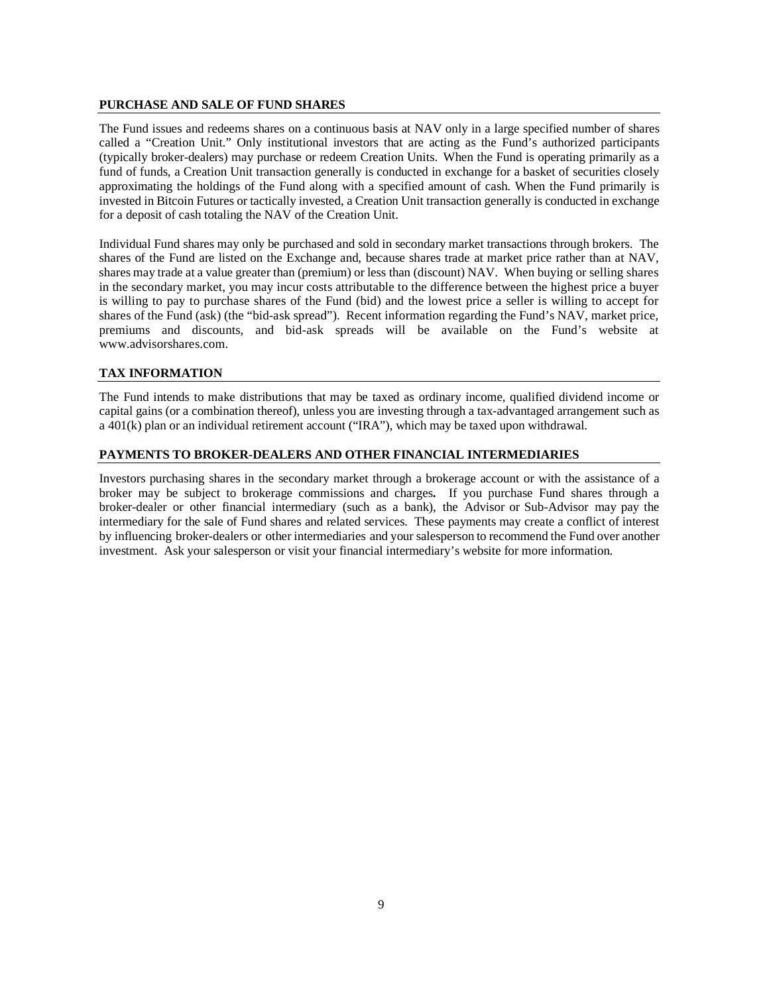## <span id="page-10-0"></span>**PURCHASE AND SALE OF FUND SHARES**

The Fund issues and redeems shares on a continuous basis at NAV only in a large specified number of shares called a "Creation Unit." Only institutional investors that are acting as the Fund's authorized participants (typically broker-dealers) may purchase or redeem Creation Units. When the Fund is operating primarily as a fund of funds, a Creation Unit transaction generally is conducted in exchange for a basket of securities closely approximating the holdings of the Fund along with a specified amount of cash. When the Fund primarily is invested in Bitcoin Futures or tactically invested, a Creation Unit transaction generally is conducted in exchange for a deposit of cash totaling the NAV of the Creation Unit.

Individual Fund shares may only be purchased and sold in secondary market transactions through brokers. The shares of the Fund are listed on the Exchange and, because shares trade at market price rather than at NAV, shares may trade at a value greater than (premium) or less than (discount) NAV. When buying or selling shares in the secondary market, you may incur costs attributable to the difference between the highest price a buyer is willing to pay to purchase shares of the Fund (bid) and the lowest price a seller is willing to accept for shares of the Fund (ask) (the "bid-ask spread"). Recent information regarding the Fund's NAV, market price, premiums and discounts, and bid-ask spreads will be available on the Fund's website at www.advisorshares.com.

# <span id="page-10-1"></span>**TAX INFORMATION**

The Fund intends to make distributions that may be taxed as ordinary income, qualified dividend income or capital gains (or a combination thereof), unless you are investing through a tax-advantaged arrangement such as a 401(k) plan or an individual retirement account ("IRA"), which may be taxed upon withdrawal.

# <span id="page-10-2"></span>**PAYMENTS TO BROKER-DEALERS AND OTHER FINANCIAL INTERMEDIARIES**

Investors purchasing shares in the secondary market through a brokerage account or with the assistance of a broker may be subject to brokerage commissions and charges**.** If you purchase Fund shares through a broker-dealer or other financial intermediary (such as a bank), the Advisor or Sub-Advisor may pay the intermediary for the sale of Fund shares and related services. These payments may create a conflict of interest by influencing broker-dealers or other intermediaries and your salesperson to recommend the Fund over another investment. Ask your salesperson or visit your financial intermediary's website for more information.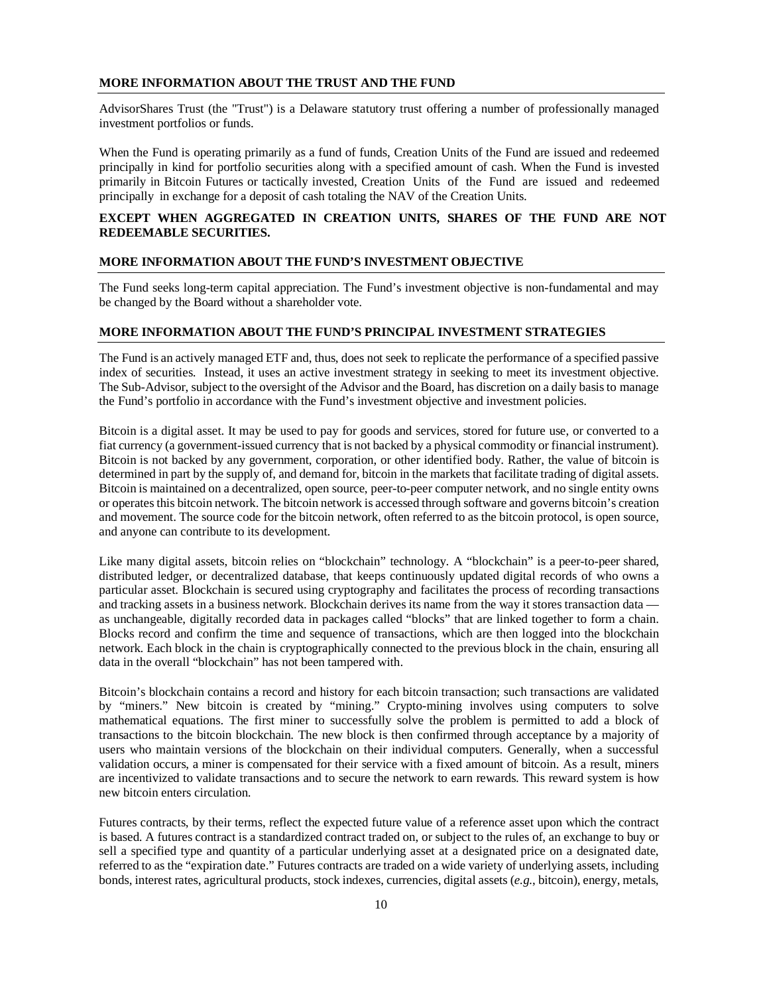# <span id="page-11-0"></span>**MORE INFORMATION ABOUT THE TRUST AND THE FUND**

AdvisorShares Trust (the "Trust") is a Delaware statutory trust offering a number of professionally managed investment portfolios or funds.

When the Fund is operating primarily as a fund of funds, Creation Units of the Fund are issued and redeemed principally in kind for portfolio securities along with a specified amount of cash. When the Fund is invested primarily in Bitcoin Futures or tactically invested, Creation Units of the Fund are issued and redeemed principally in exchange for a deposit of cash totaling the NAV of the Creation Units.

# **EXCEPT WHEN AGGREGATED IN CREATION UNITS, SHARES OF THE FUND ARE NOT REDEEMABLE SECURITIES.**

# <span id="page-11-1"></span>**MORE INFORMATION ABOUT THE FUND'S INVESTMENT OBJECTIVE**

The Fund seeks long-term capital appreciation. The Fund's investment objective is non-fundamental and may be changed by the Board without a shareholder vote.

# <span id="page-11-2"></span>**MORE INFORMATION ABOUT THE FUND'S PRINCIPAL INVESTMENT STRATEGIES**

The Fund is an actively managed ETF and, thus, does not seek to replicate the performance of a specified passive index of securities. Instead, it uses an active investment strategy in seeking to meet its investment objective. The Sub-Advisor, subject to the oversight of the Advisor and the Board, has discretion on a daily basisto manage the Fund's portfolio in accordance with the Fund's investment objective and investment policies.

Bitcoin is a digital asset. It may be used to pay for goods and services, stored for future use, or converted to a fiat currency (a government-issued currency that is not backed by a physical commodity or financial instrument). Bitcoin is not backed by any government, corporation, or other identified body. Rather, the value of bitcoin is determined in part by the supply of, and demand for, bitcoin in the markets that facilitate trading of digital assets. Bitcoin is maintained on a decentralized, open source, peer-to-peer computer network, and no single entity owns or operates this bitcoin network. The bitcoin network is accessed through software and governs bitcoin's creation and movement. The source code for the bitcoin network, often referred to as the bitcoin protocol, is open source, and anyone can contribute to its development.

Like many digital assets, bitcoin relies on "blockchain" technology. A "blockchain" is a peer-to-peer shared, distributed ledger, or decentralized database, that keeps continuously updated digital records of who owns a particular asset. Blockchain is secured using cryptography and facilitates the process of recording transactions and tracking assets in a business network. Blockchain derives its name from the way it stores transaction data as unchangeable, digitally recorded data in packages called "blocks" that are linked together to form a chain. Blocks record and confirm the time and sequence of transactions, which are then logged into the blockchain network. Each block in the chain is cryptographically connected to the previous block in the chain, ensuring all data in the overall "blockchain" has not been tampered with.

Bitcoin's blockchain contains a record and history for each bitcoin transaction; such transactions are validated by "miners." New bitcoin is created by "mining." Crypto-mining involves using computers to solve mathematical equations. The first miner to successfully solve the problem is permitted to add a block of transactions to the bitcoin blockchain. The new block is then confirmed through acceptance by a majority of users who maintain versions of the blockchain on their individual computers. Generally, when a successful validation occurs, a miner is compensated for their service with a fixed amount of bitcoin. As a result, miners are incentivized to validate transactions and to secure the network to earn rewards. This reward system is how new bitcoin enters circulation.

Futures contracts, by their terms, reflect the expected future value of a reference asset upon which the contract is based. A futures contract is a standardized contract traded on, or subject to the rules of, an exchange to buy or sell a specified type and quantity of a particular underlying asset at a designated price on a designated date, referred to as the "expiration date." Futures contracts are traded on a wide variety of underlying assets, including bonds, interest rates, agricultural products, stock indexes, currencies, digital assets (*e.g.*, bitcoin), energy, metals,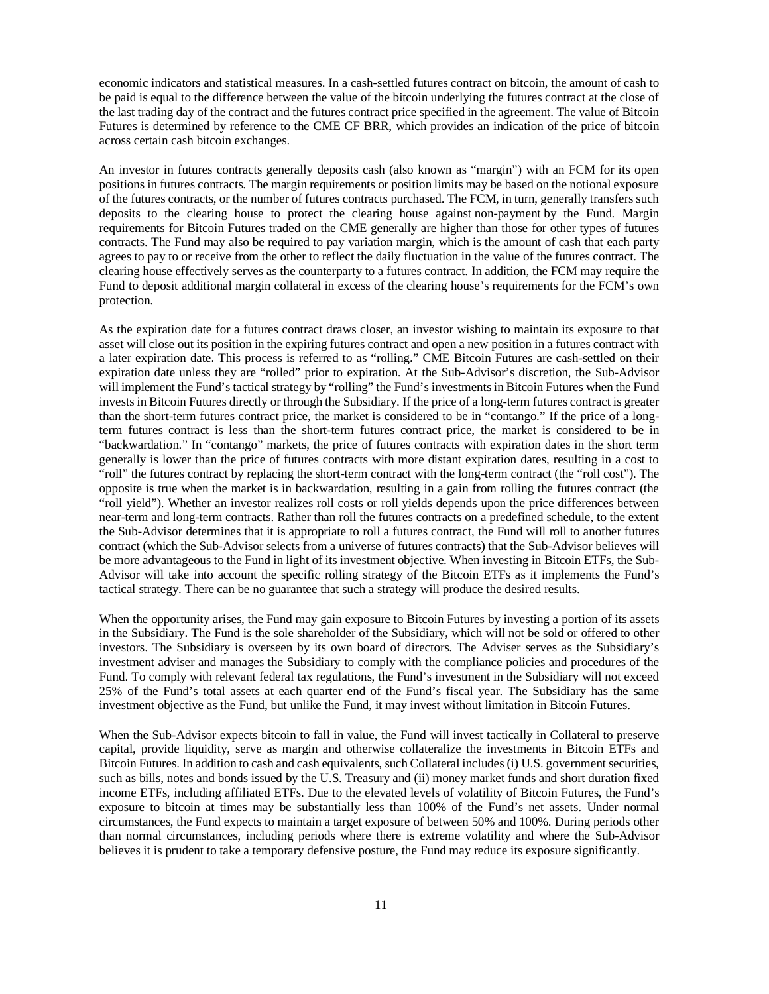economic indicators and statistical measures. In a cash-settled futures contract on bitcoin, the amount of cash to be paid is equal to the difference between the value of the bitcoin underlying the futures contract at the close of the last trading day of the contract and the futures contract price specified in the agreement. The value of Bitcoin Futures is determined by reference to the CME CF BRR, which provides an indication of the price of bitcoin across certain cash bitcoin exchanges.

An investor in futures contracts generally deposits cash (also known as "margin") with an FCM for its open positions in futures contracts. The margin requirements or position limits may be based on the notional exposure of the futures contracts, or the number of futures contracts purchased. The FCM, in turn, generally transfers such deposits to the clearing house to protect the clearing house against non-payment by the Fund. Margin requirements for Bitcoin Futures traded on the CME generally are higher than those for other types of futures contracts. The Fund may also be required to pay variation margin, which is the amount of cash that each party agrees to pay to or receive from the other to reflect the daily fluctuation in the value of the futures contract. The clearing house effectively serves as the counterparty to a futures contract. In addition, the FCM may require the Fund to deposit additional margin collateral in excess of the clearing house's requirements for the FCM's own protection.

As the expiration date for a futures contract draws closer, an investor wishing to maintain its exposure to that asset will close out its position in the expiring futures contract and open a new position in a futures contract with a later expiration date. This process is referred to as "rolling." CME Bitcoin Futures are cash-settled on their expiration date unless they are "rolled" prior to expiration. At the Sub-Advisor's discretion, the Sub-Advisor will implement the Fund's tactical strategy by "rolling" the Fund's investments in Bitcoin Futures when the Fund invests in Bitcoin Futures directly or through the Subsidiary. If the price of a long-term futures contract is greater than the short-term futures contract price, the market is considered to be in "contango." If the price of a longterm futures contract is less than the short-term futures contract price, the market is considered to be in "backwardation." In "contango" markets, the price of futures contracts with expiration dates in the short term generally is lower than the price of futures contracts with more distant expiration dates, resulting in a cost to "roll" the futures contract by replacing the short-term contract with the long-term contract (the "roll cost"). The opposite is true when the market is in backwardation, resulting in a gain from rolling the futures contract (the "roll yield"). Whether an investor realizes roll costs or roll yields depends upon the price differences between near-term and long-term contracts. Rather than roll the futures contracts on a predefined schedule, to the extent the Sub-Advisor determines that it is appropriate to roll a futures contract, the Fund will roll to another futures contract (which the Sub-Advisor selects from a universe of futures contracts) that the Sub-Advisor believes will be more advantageous to the Fund in light of its investment objective. When investing in Bitcoin ETFs, the Sub-Advisor will take into account the specific rolling strategy of the Bitcoin ETFs as it implements the Fund's tactical strategy. There can be no guarantee that such a strategy will produce the desired results.

When the opportunity arises, the Fund may gain exposure to Bitcoin Futures by investing a portion of its assets in the Subsidiary. The Fund is the sole shareholder of the Subsidiary, which will not be sold or offered to other investors. The Subsidiary is overseen by its own board of directors. The Adviser serves as the Subsidiary's investment adviser and manages the Subsidiary to comply with the compliance policies and procedures of the Fund. To comply with relevant federal tax regulations, the Fund's investment in the Subsidiary will not exceed 25% of the Fund's total assets at each quarter end of the Fund's fiscal year. The Subsidiary has the same investment objective as the Fund, but unlike the Fund, it may invest without limitation in Bitcoin Futures.

When the Sub-Advisor expects bitcoin to fall in value, the Fund will invest tactically in Collateral to preserve capital, provide liquidity, serve as margin and otherwise collateralize the investments in Bitcoin ETFs and Bitcoin Futures. In addition to cash and cash equivalents, such Collateral includes (i) U.S. government securities, such as bills, notes and bonds issued by the U.S. Treasury and (ii) money market funds and short duration fixed income ETFs, including affiliated ETFs. Due to the elevated levels of volatility of Bitcoin Futures, the Fund's exposure to bitcoin at times may be substantially less than 100% of the Fund's net assets. Under normal circumstances, the Fund expects to maintain a target exposure of between 50% and 100%. During periods other than normal circumstances, including periods where there is extreme volatility and where the Sub-Advisor believes it is prudent to take a temporary defensive posture, the Fund may reduce its exposure significantly.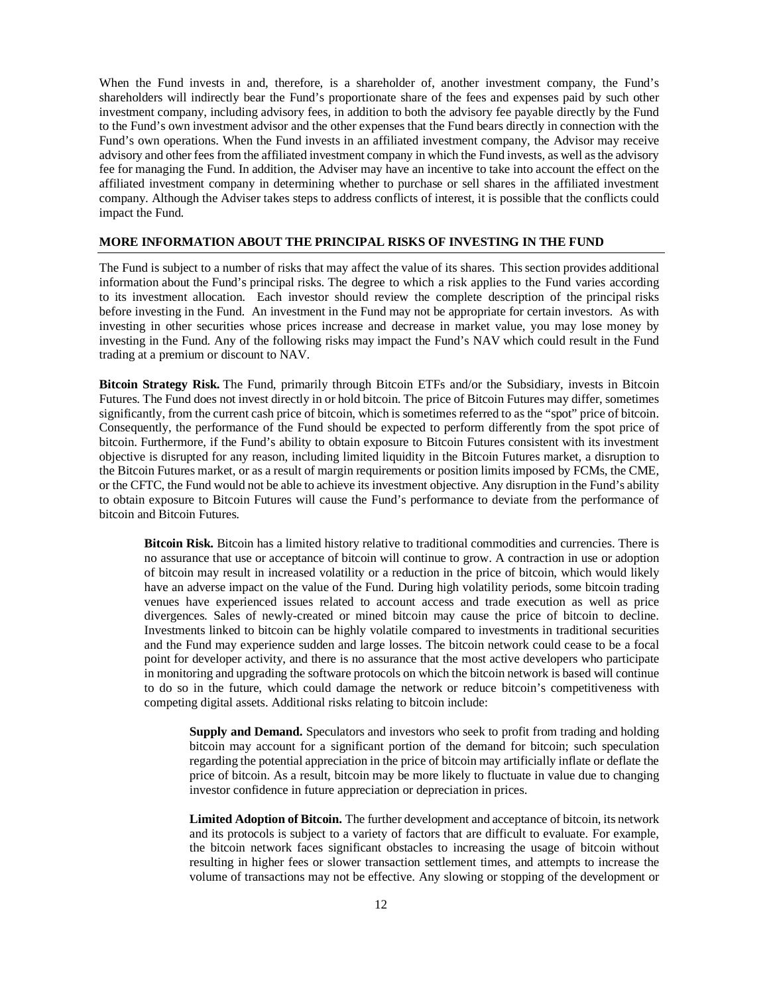When the Fund invests in and, therefore, is a shareholder of, another investment company, the Fund's shareholders will indirectly bear the Fund's proportionate share of the fees and expenses paid by such other investment company, including advisory fees, in addition to both the advisory fee payable directly by the Fund to the Fund's own investment advisor and the other expenses that the Fund bears directly in connection with the Fund's own operations. When the Fund invests in an affiliated investment company, the Advisor may receive advisory and other fees from the affiliated investment company in which the Fund invests, as well as the advisory fee for managing the Fund. In addition, the Adviser may have an incentive to take into account the effect on the affiliated investment company in determining whether to purchase or sell shares in the affiliated investment company. Although the Adviser takes steps to address conflicts of interest, it is possible that the conflicts could impact the Fund.

# <span id="page-13-0"></span>**MORE INFORMATION ABOUT THE PRINCIPAL RISKS OF INVESTING IN THE FUND**

The Fund is subject to a number of risks that may affect the value of its shares. This section provides additional information about the Fund's principal risks. The degree to which a risk applies to the Fund varies according to its investment allocation. Each investor should review the complete description of the principal risks before investing in the Fund. An investment in the Fund may not be appropriate for certain investors. As with investing in other securities whose prices increase and decrease in market value, you may lose money by investing in the Fund. Any of the following risks may impact the Fund's NAV which could result in the Fund trading at a premium or discount to NAV.

**Bitcoin Strategy Risk.** The Fund, primarily through Bitcoin ETFs and/or the Subsidiary, invests in Bitcoin Futures. The Fund does not invest directly in or hold bitcoin. The price of Bitcoin Futures may differ, sometimes significantly, from the current cash price of bitcoin, which is sometimes referred to as the "spot" price of bitcoin. Consequently, the performance of the Fund should be expected to perform differently from the spot price of bitcoin. Furthermore, if the Fund's ability to obtain exposure to Bitcoin Futures consistent with its investment objective is disrupted for any reason, including limited liquidity in the Bitcoin Futures market, a disruption to the Bitcoin Futures market, or as a result of margin requirements or position limits imposed by FCMs, the CME, or the CFTC, the Fund would not be able to achieve its investment objective. Any disruption in the Fund's ability to obtain exposure to Bitcoin Futures will cause the Fund's performance to deviate from the performance of bitcoin and Bitcoin Futures.

**Bitcoin Risk.** Bitcoin has a limited history relative to traditional commodities and currencies. There is no assurance that use or acceptance of bitcoin will continue to grow. A contraction in use or adoption of bitcoin may result in increased volatility or a reduction in the price of bitcoin, which would likely have an adverse impact on the value of the Fund. During high volatility periods, some bitcoin trading venues have experienced issues related to account access and trade execution as well as price divergences. Sales of newly-created or mined bitcoin may cause the price of bitcoin to decline. Investments linked to bitcoin can be highly volatile compared to investments in traditional securities and the Fund may experience sudden and large losses. The bitcoin network could cease to be a focal point for developer activity, and there is no assurance that the most active developers who participate in monitoring and upgrading the software protocols on which the bitcoin network is based will continue to do so in the future, which could damage the network or reduce bitcoin's competitiveness with competing digital assets. Additional risks relating to bitcoin include:

**Supply and Demand.** Speculators and investors who seek to profit from trading and holding bitcoin may account for a significant portion of the demand for bitcoin; such speculation regarding the potential appreciation in the price of bitcoin may artificially inflate or deflate the price of bitcoin. As a result, bitcoin may be more likely to fluctuate in value due to changing investor confidence in future appreciation or depreciation in prices.

**Limited Adoption of Bitcoin.** The further development and acceptance of bitcoin, its network and its protocols is subject to a variety of factors that are difficult to evaluate. For example, the bitcoin network faces significant obstacles to increasing the usage of bitcoin without resulting in higher fees or slower transaction settlement times, and attempts to increase the volume of transactions may not be effective. Any slowing or stopping of the development or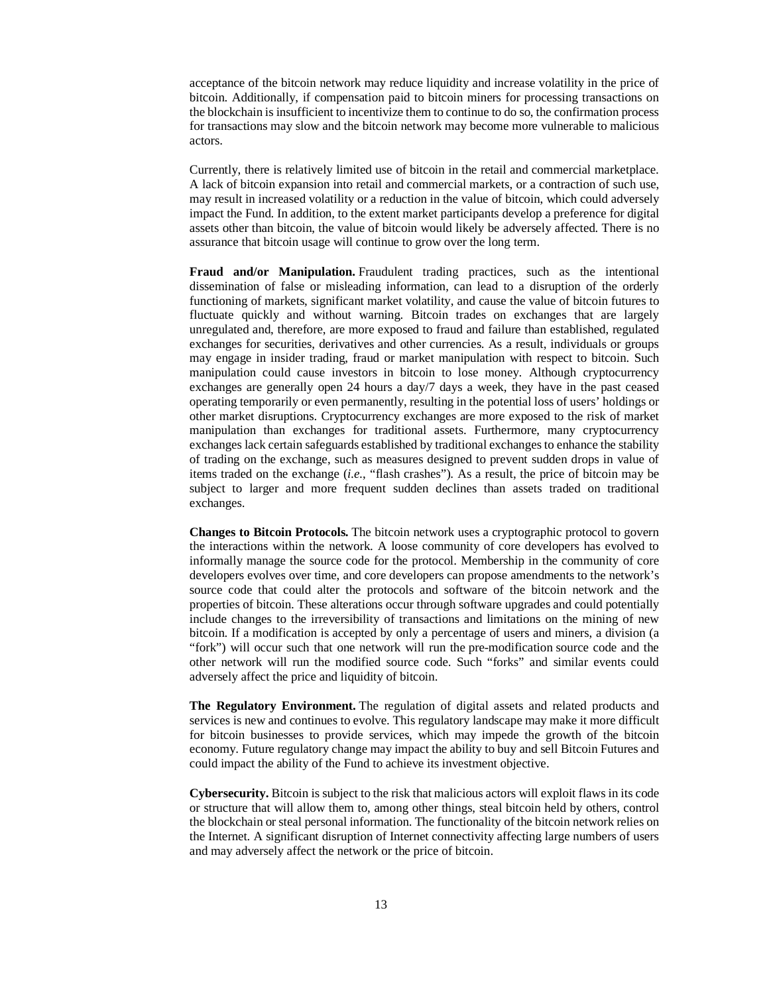acceptance of the bitcoin network may reduce liquidity and increase volatility in the price of bitcoin. Additionally, if compensation paid to bitcoin miners for processing transactions on the blockchain is insufficient to incentivize them to continue to do so, the confirmation process for transactions may slow and the bitcoin network may become more vulnerable to malicious actors.

Currently, there is relatively limited use of bitcoin in the retail and commercial marketplace. A lack of bitcoin expansion into retail and commercial markets, or a contraction of such use, may result in increased volatility or a reduction in the value of bitcoin, which could adversely impact the Fund. In addition, to the extent market participants develop a preference for digital assets other than bitcoin, the value of bitcoin would likely be adversely affected. There is no assurance that bitcoin usage will continue to grow over the long term.

**Fraud and/or Manipulation.** Fraudulent trading practices, such as the intentional dissemination of false or misleading information, can lead to a disruption of the orderly functioning of markets, significant market volatility, and cause the value of bitcoin futures to fluctuate quickly and without warning. Bitcoin trades on exchanges that are largely unregulated and, therefore, are more exposed to fraud and failure than established, regulated exchanges for securities, derivatives and other currencies. As a result, individuals or groups may engage in insider trading, fraud or market manipulation with respect to bitcoin. Such manipulation could cause investors in bitcoin to lose money. Although cryptocurrency exchanges are generally open 24 hours a day/7 days a week, they have in the past ceased operating temporarily or even permanently, resulting in the potential loss of users' holdings or other market disruptions. Cryptocurrency exchanges are more exposed to the risk of market manipulation than exchanges for traditional assets. Furthermore, many cryptocurrency exchanges lack certain safeguards established by traditional exchanges to enhance the stability of trading on the exchange, such as measures designed to prevent sudden drops in value of items traded on the exchange (*i.e.*, "flash crashes"). As a result, the price of bitcoin may be subject to larger and more frequent sudden declines than assets traded on traditional exchanges.

**Changes to Bitcoin Protocols.** The bitcoin network uses a cryptographic protocol to govern the interactions within the network. A loose community of core developers has evolved to informally manage the source code for the protocol. Membership in the community of core developers evolves over time, and core developers can propose amendments to the network's source code that could alter the protocols and software of the bitcoin network and the properties of bitcoin. These alterations occur through software upgrades and could potentially include changes to the irreversibility of transactions and limitations on the mining of new bitcoin. If a modification is accepted by only a percentage of users and miners, a division (a "fork") will occur such that one network will run the pre-modification source code and the other network will run the modified source code. Such "forks" and similar events could adversely affect the price and liquidity of bitcoin.

**The Regulatory Environment.** The regulation of digital assets and related products and services is new and continues to evolve. This regulatory landscape may make it more difficult for bitcoin businesses to provide services, which may impede the growth of the bitcoin economy. Future regulatory change may impact the ability to buy and sell Bitcoin Futures and could impact the ability of the Fund to achieve its investment objective.

**Cybersecurity.** Bitcoin is subject to the risk that malicious actors will exploit flaws in its code or structure that will allow them to, among other things, steal bitcoin held by others, control the blockchain or steal personal information. The functionality of the bitcoin network relies on the Internet. A significant disruption of Internet connectivity affecting large numbers of users and may adversely affect the network or the price of bitcoin.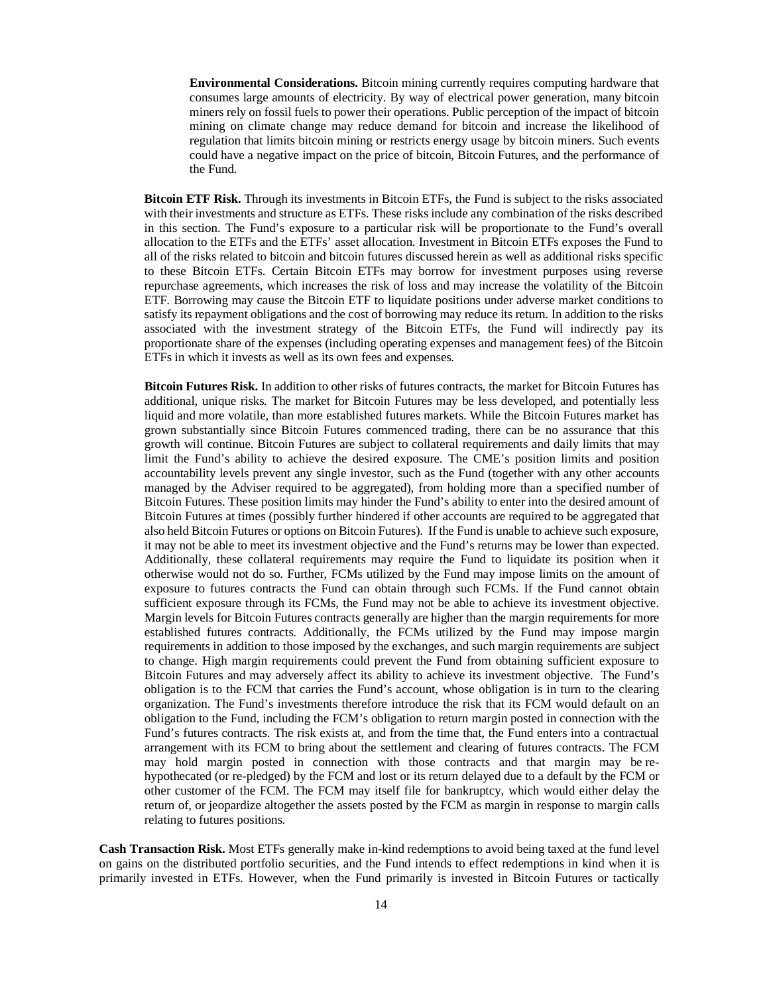**Environmental Considerations.** Bitcoin mining currently requires computing hardware that consumes large amounts of electricity. By way of electrical power generation, many bitcoin miners rely on fossil fuels to power their operations. Public perception of the impact of bitcoin mining on climate change may reduce demand for bitcoin and increase the likelihood of regulation that limits bitcoin mining or restricts energy usage by bitcoin miners. Such events could have a negative impact on the price of bitcoin, Bitcoin Futures, and the performance of the Fund.

**Bitcoin ETF Risk.** Through its investments in Bitcoin ETFs, the Fund is subject to the risks associated with their investments and structure as ETFs. These risks include any combination of the risks described in this section. The Fund's exposure to a particular risk will be proportionate to the Fund's overall allocation to the ETFs and the ETFs' asset allocation. Investment in Bitcoin ETFs exposes the Fund to all of the risks related to bitcoin and bitcoin futures discussed herein as well as additional risks specific to these Bitcoin ETFs. Certain Bitcoin ETFs may borrow for investment purposes using reverse repurchase agreements, which increases the risk of loss and may increase the volatility of the Bitcoin ETF. Borrowing may cause the Bitcoin ETF to liquidate positions under adverse market conditions to satisfy its repayment obligations and the cost of borrowing may reduce its return. In addition to the risks associated with the investment strategy of the Bitcoin ETFs, the Fund will indirectly pay its proportionate share of the expenses (including operating expenses and management fees) of the Bitcoin ETFs in which it invests as well as its own fees and expenses.

**Bitcoin Futures Risk.** In addition to other risks of futures contracts, the market for Bitcoin Futures has additional, unique risks. The market for Bitcoin Futures may be less developed, and potentially less liquid and more volatile, than more established futures markets. While the Bitcoin Futures market has grown substantially since Bitcoin Futures commenced trading, there can be no assurance that this growth will continue. Bitcoin Futures are subject to collateral requirements and daily limits that may limit the Fund's ability to achieve the desired exposure. The CME's position limits and position accountability levels prevent any single investor, such as the Fund (together with any other accounts managed by the Adviser required to be aggregated), from holding more than a specified number of Bitcoin Futures. These position limits may hinder the Fund's ability to enter into the desired amount of Bitcoin Futures at times (possibly further hindered if other accounts are required to be aggregated that also held Bitcoin Futures or options on Bitcoin Futures). If the Fund is unable to achieve such exposure, it may not be able to meet its investment objective and the Fund's returns may be lower than expected. Additionally, these collateral requirements may require the Fund to liquidate its position when it otherwise would not do so. Further, FCMs utilized by the Fund may impose limits on the amount of exposure to futures contracts the Fund can obtain through such FCMs. If the Fund cannot obtain sufficient exposure through its FCMs, the Fund may not be able to achieve its investment objective. Margin levels for Bitcoin Futures contracts generally are higher than the margin requirements for more established futures contracts. Additionally, the FCMs utilized by the Fund may impose margin requirements in addition to those imposed by the exchanges, and such margin requirements are subject to change. High margin requirements could prevent the Fund from obtaining sufficient exposure to Bitcoin Futures and may adversely affect its ability to achieve its investment objective. The Fund's obligation is to the FCM that carries the Fund's account, whose obligation is in turn to the clearing organization. The Fund's investments therefore introduce the risk that its FCM would default on an obligation to the Fund, including the FCM's obligation to return margin posted in connection with the Fund's futures contracts. The risk exists at, and from the time that, the Fund enters into a contractual arrangement with its FCM to bring about the settlement and clearing of futures contracts. The FCM may hold margin posted in connection with those contracts and that margin may be rehypothecated (or re-pledged) by the FCM and lost or its return delayed due to a default by the FCM or other customer of the FCM. The FCM may itself file for bankruptcy, which would either delay the return of, or jeopardize altogether the assets posted by the FCM as margin in response to margin calls relating to futures positions.

**Cash Transaction Risk.** Most ETFs generally make in-kind redemptions to avoid being taxed at the fund level on gains on the distributed portfolio securities, and the Fund intends to effect redemptions in kind when it is primarily invested in ETFs. However, when the Fund primarily is invested in Bitcoin Futures or tactically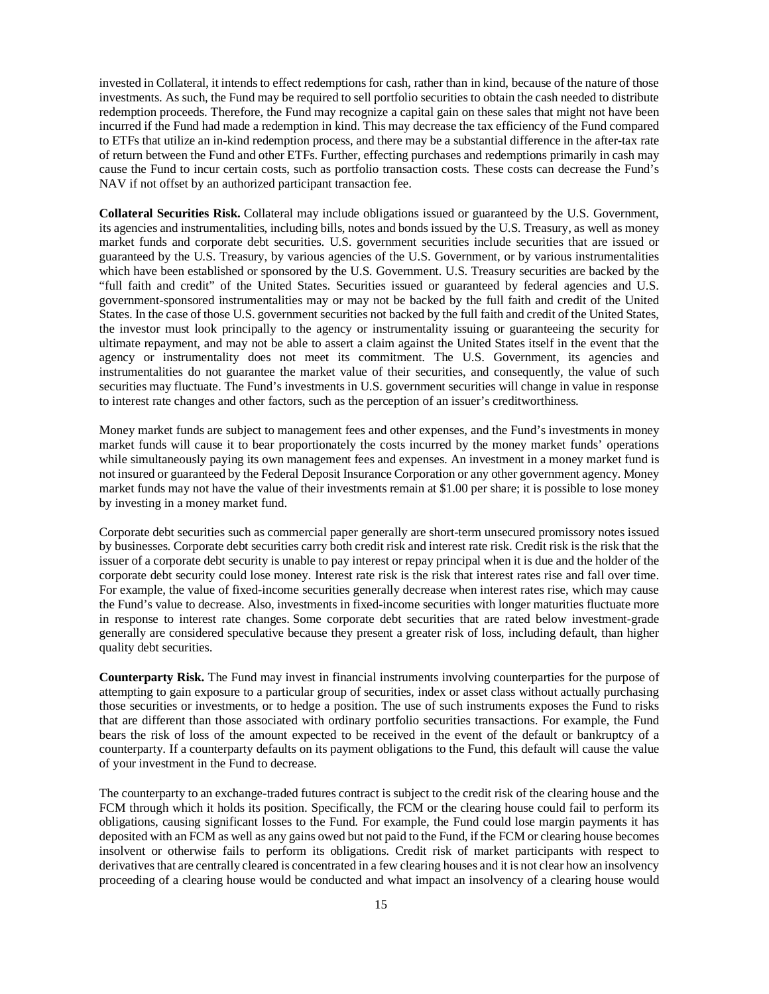invested in Collateral, it intends to effect redemptions for cash, rather than in kind, because of the nature of those investments. As such, the Fund may be required to sell portfolio securities to obtain the cash needed to distribute redemption proceeds. Therefore, the Fund may recognize a capital gain on these sales that might not have been incurred if the Fund had made a redemption in kind. This may decrease the tax efficiency of the Fund compared to ETFs that utilize an in-kind redemption process, and there may be a substantial difference in the after-tax rate of return between the Fund and other ETFs. Further, effecting purchases and redemptions primarily in cash may cause the Fund to incur certain costs, such as portfolio transaction costs. These costs can decrease the Fund's NAV if not offset by an authorized participant transaction fee.

**Collateral Securities Risk.** Collateral may include obligations issued or guaranteed by the U.S. Government, its agencies and instrumentalities, including bills, notes and bonds issued by the U.S. Treasury, as well as money market funds and corporate debt securities. U.S. government securities include securities that are issued or guaranteed by the U.S. Treasury, by various agencies of the U.S. Government, or by various instrumentalities which have been established or sponsored by the U.S. Government. U.S. Treasury securities are backed by the "full faith and credit" of the United States. Securities issued or guaranteed by federal agencies and U.S. government-sponsored instrumentalities may or may not be backed by the full faith and credit of the United States. In the case of those U.S. government securities not backed by the full faith and credit of the United States, the investor must look principally to the agency or instrumentality issuing or guaranteeing the security for ultimate repayment, and may not be able to assert a claim against the United States itself in the event that the agency or instrumentality does not meet its commitment. The U.S. Government, its agencies and instrumentalities do not guarantee the market value of their securities, and consequently, the value of such securities may fluctuate. The Fund's investments in U.S. government securities will change in value in response to interest rate changes and other factors, such as the perception of an issuer's creditworthiness.

Money market funds are subject to management fees and other expenses, and the Fund's investments in money market funds will cause it to bear proportionately the costs incurred by the money market funds' operations while simultaneously paying its own management fees and expenses. An investment in a money market fund is not insured or guaranteed by the Federal Deposit Insurance Corporation or any other government agency. Money market funds may not have the value of their investments remain at \$1.00 per share; it is possible to lose money by investing in a money market fund.

Corporate debt securities such as commercial paper generally are short-term unsecured promissory notes issued by businesses. Corporate debt securities carry both credit risk and interest rate risk. Credit risk is the risk that the issuer of a corporate debt security is unable to pay interest or repay principal when it is due and the holder of the corporate debt security could lose money. Interest rate risk is the risk that interest rates rise and fall over time. For example, the value of fixed-income securities generally decrease when interest rates rise, which may cause the Fund's value to decrease. Also, investments in fixed-income securities with longer maturities fluctuate more in response to interest rate changes. Some corporate debt securities that are rated below investment-grade generally are considered speculative because they present a greater risk of loss, including default, than higher quality debt securities.

**Counterparty Risk.** The Fund may invest in financial instruments involving counterparties for the purpose of attempting to gain exposure to a particular group of securities, index or asset class without actually purchasing those securities or investments, or to hedge a position. The use of such instruments exposes the Fund to risks that are different than those associated with ordinary portfolio securities transactions. For example, the Fund bears the risk of loss of the amount expected to be received in the event of the default or bankruptcy of a counterparty. If a counterparty defaults on its payment obligations to the Fund, this default will cause the value of your investment in the Fund to decrease.

The counterparty to an exchange-traded futures contract is subject to the credit risk of the clearing house and the FCM through which it holds its position. Specifically, the FCM or the clearing house could fail to perform its obligations, causing significant losses to the Fund. For example, the Fund could lose margin payments it has deposited with an FCM as well as any gains owed but not paid to the Fund, if the FCM or clearing house becomes insolvent or otherwise fails to perform its obligations. Credit risk of market participants with respect to derivatives that are centrally cleared is concentrated in a few clearing houses and it is not clear how an insolvency proceeding of a clearing house would be conducted and what impact an insolvency of a clearing house would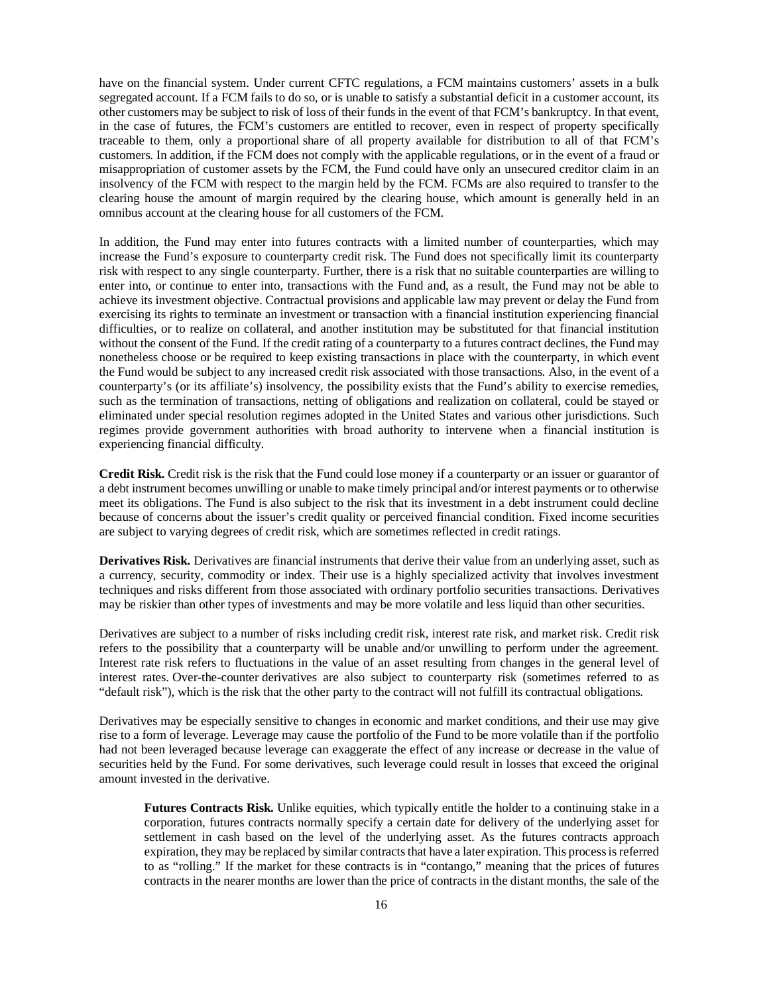have on the financial system. Under current CFTC regulations, a FCM maintains customers' assets in a bulk segregated account. If a FCM fails to do so, or is unable to satisfy a substantial deficit in a customer account, its other customers may be subject to risk of loss of their funds in the event of that FCM's bankruptcy. In that event, in the case of futures, the FCM's customers are entitled to recover, even in respect of property specifically traceable to them, only a proportional share of all property available for distribution to all of that FCM's customers. In addition, if the FCM does not comply with the applicable regulations, or in the event of a fraud or misappropriation of customer assets by the FCM, the Fund could have only an unsecured creditor claim in an insolvency of the FCM with respect to the margin held by the FCM. FCMs are also required to transfer to the clearing house the amount of margin required by the clearing house, which amount is generally held in an omnibus account at the clearing house for all customers of the FCM.

In addition, the Fund may enter into futures contracts with a limited number of counterparties, which may increase the Fund's exposure to counterparty credit risk. The Fund does not specifically limit its counterparty risk with respect to any single counterparty. Further, there is a risk that no suitable counterparties are willing to enter into, or continue to enter into, transactions with the Fund and, as a result, the Fund may not be able to achieve its investment objective. Contractual provisions and applicable law may prevent or delay the Fund from exercising its rights to terminate an investment or transaction with a financial institution experiencing financial difficulties, or to realize on collateral, and another institution may be substituted for that financial institution without the consent of the Fund. If the credit rating of a counterparty to a futures contract declines, the Fund may nonetheless choose or be required to keep existing transactions in place with the counterparty, in which event the Fund would be subject to any increased credit risk associated with those transactions. Also, in the event of a counterparty's (or its affiliate's) insolvency, the possibility exists that the Fund's ability to exercise remedies, such as the termination of transactions, netting of obligations and realization on collateral, could be stayed or eliminated under special resolution regimes adopted in the United States and various other jurisdictions. Such regimes provide government authorities with broad authority to intervene when a financial institution is experiencing financial difficulty.

**Credit Risk.** Credit risk is the risk that the Fund could lose money if a counterparty or an issuer or guarantor of a debt instrument becomes unwilling or unable to make timely principal and/or interest payments or to otherwise meet its obligations. The Fund is also subject to the risk that its investment in a debt instrument could decline because of concerns about the issuer's credit quality or perceived financial condition. Fixed income securities are subject to varying degrees of credit risk, which are sometimes reflected in credit ratings.

**Derivatives Risk.** Derivatives are financial instruments that derive their value from an underlying asset, such as a currency, security, commodity or index. Their use is a highly specialized activity that involves investment techniques and risks different from those associated with ordinary portfolio securities transactions. Derivatives may be riskier than other types of investments and may be more volatile and less liquid than other securities.

Derivatives are subject to a number of risks including credit risk, interest rate risk, and market risk. Credit risk refers to the possibility that a counterparty will be unable and/or unwilling to perform under the agreement. Interest rate risk refers to fluctuations in the value of an asset resulting from changes in the general level of interest rates. Over-the-counter derivatives are also subject to counterparty risk (sometimes referred to as "default risk"), which is the risk that the other party to the contract will not fulfill its contractual obligations.

Derivatives may be especially sensitive to changes in economic and market conditions, and their use may give rise to a form of leverage. Leverage may cause the portfolio of the Fund to be more volatile than if the portfolio had not been leveraged because leverage can exaggerate the effect of any increase or decrease in the value of securities held by the Fund. For some derivatives, such leverage could result in losses that exceed the original amount invested in the derivative.

**Futures Contracts Risk.** Unlike equities, which typically entitle the holder to a continuing stake in a corporation, futures contracts normally specify a certain date for delivery of the underlying asset for settlement in cash based on the level of the underlying asset. As the futures contracts approach expiration, they may be replaced by similar contracts that have a later expiration. This process is referred to as "rolling." If the market for these contracts is in "contango," meaning that the prices of futures contracts in the nearer months are lower than the price of contracts in the distant months, the sale of the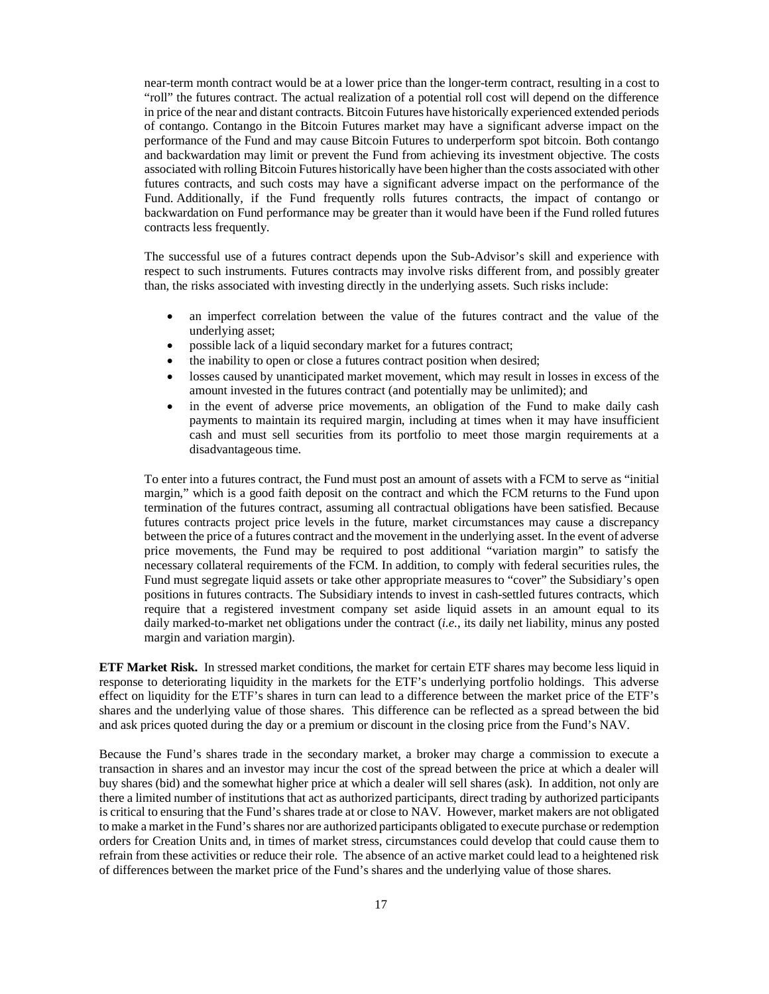near-term month contract would be at a lower price than the longer-term contract, resulting in a cost to "roll" the futures contract. The actual realization of a potential roll cost will depend on the difference in price of the near and distant contracts. Bitcoin Futures have historically experienced extended periods of contango. Contango in the Bitcoin Futures market may have a significant adverse impact on the performance of the Fund and may cause Bitcoin Futures to underperform spot bitcoin. Both contango and backwardation may limit or prevent the Fund from achieving its investment objective. The costs associated with rolling Bitcoin Futures historically have been higher than the costs associated with other futures contracts, and such costs may have a significant adverse impact on the performance of the Fund. Additionally, if the Fund frequently rolls futures contracts, the impact of contango or backwardation on Fund performance may be greater than it would have been if the Fund rolled futures contracts less frequently.

The successful use of a futures contract depends upon the Sub-Advisor's skill and experience with respect to such instruments. Futures contracts may involve risks different from, and possibly greater than, the risks associated with investing directly in the underlying assets. Such risks include:

- an imperfect correlation between the value of the futures contract and the value of the underlying asset;
- possible lack of a liquid secondary market for a futures contract;
- the inability to open or close a futures contract position when desired;
- losses caused by unanticipated market movement, which may result in losses in excess of the amount invested in the futures contract (and potentially may be unlimited); and
- in the event of adverse price movements, an obligation of the Fund to make daily cash payments to maintain its required margin, including at times when it may have insufficient cash and must sell securities from its portfolio to meet those margin requirements at a disadvantageous time.

To enter into a futures contract, the Fund must post an amount of assets with a FCM to serve as "initial margin," which is a good faith deposit on the contract and which the FCM returns to the Fund upon termination of the futures contract, assuming all contractual obligations have been satisfied. Because futures contracts project price levels in the future, market circumstances may cause a discrepancy between the price of a futures contract and the movement in the underlying asset. In the event of adverse price movements, the Fund may be required to post additional "variation margin" to satisfy the necessary collateral requirements of the FCM. In addition, to comply with federal securities rules, the Fund must segregate liquid assets or take other appropriate measures to "cover" the Subsidiary's open positions in futures contracts. The Subsidiary intends to invest in cash-settled futures contracts, which require that a registered investment company set aside liquid assets in an amount equal to its daily marked-to-market net obligations under the contract (*i.e.*, its daily net liability, minus any posted margin and variation margin).

**ETF Market Risk.** In stressed market conditions, the market for certain ETF shares may become less liquid in response to deteriorating liquidity in the markets for the ETF's underlying portfolio holdings. This adverse effect on liquidity for the ETF's shares in turn can lead to a difference between the market price of the ETF's shares and the underlying value of those shares. This difference can be reflected as a spread between the bid and ask prices quoted during the day or a premium or discount in the closing price from the Fund's NAV.

Because the Fund's shares trade in the secondary market, a broker may charge a commission to execute a transaction in shares and an investor may incur the cost of the spread between the price at which a dealer will buy shares (bid) and the somewhat higher price at which a dealer will sell shares (ask). In addition, not only are there a limited number of institutions that act as authorized participants, direct trading by authorized participants is critical to ensuring that the Fund's shares trade at or close to NAV. However, market makers are not obligated to make a market in the Fund's shares nor are authorized participants obligated to execute purchase or redemption orders for Creation Units and, in times of market stress, circumstances could develop that could cause them to refrain from these activities or reduce their role. The absence of an active market could lead to a heightened risk of differences between the market price of the Fund's shares and the underlying value of those shares.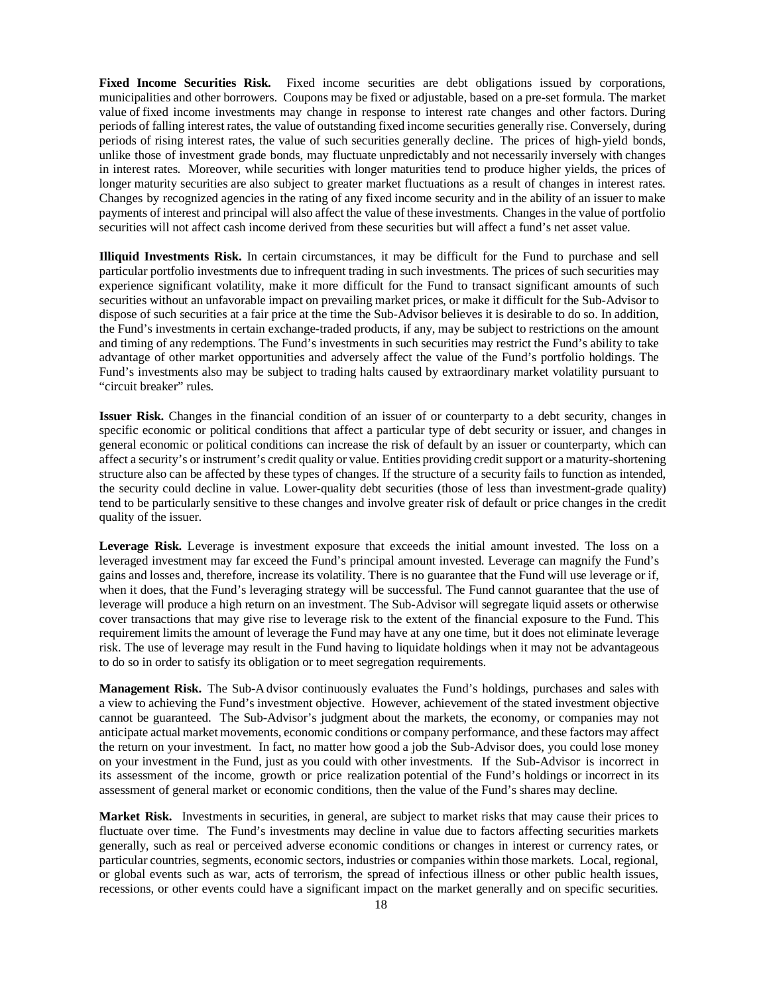**Fixed Income Securities Risk.** Fixed income securities are debt obligations issued by corporations, municipalities and other borrowers. Coupons may be fixed or adjustable, based on a pre-set formula. The market value of fixed income investments may change in response to interest rate changes and other factors. During periods of falling interest rates, the value of outstanding fixed income securities generally rise. Conversely, during periods of rising interest rates, the value of such securities generally decline. The prices of high-yield bonds, unlike those of investment grade bonds, may fluctuate unpredictably and not necessarily inversely with changes in interest rates. Moreover, while securities with longer maturities tend to produce higher yields, the prices of longer maturity securities are also subject to greater market fluctuations as a result of changes in interest rates. Changes by recognized agencies in the rating of any fixed income security and in the ability of an issuer to make payments of interest and principal will also affect the value of these investments. Changesin the value of portfolio securities will not affect cash income derived from these securities but will affect a fund's net asset value.

**Illiquid Investments Risk.** In certain circumstances, it may be difficult for the Fund to purchase and sell particular portfolio investments due to infrequent trading in such investments. The prices of such securities may experience significant volatility, make it more difficult for the Fund to transact significant amounts of such securities without an unfavorable impact on prevailing market prices, or make it difficult for the Sub-Advisor to dispose of such securities at a fair price at the time the Sub-Advisor believes it is desirable to do so. In addition, the Fund's investments in certain exchange-traded products, if any, may be subject to restrictions on the amount and timing of any redemptions. The Fund's investments in such securities may restrict the Fund's ability to take advantage of other market opportunities and adversely affect the value of the Fund's portfolio holdings. The Fund's investments also may be subject to trading halts caused by extraordinary market volatility pursuant to "circuit breaker" rules.

**Issuer Risk.** Changes in the financial condition of an issuer of or counterparty to a debt security, changes in specific economic or political conditions that affect a particular type of debt security or issuer, and changes in general economic or political conditions can increase the risk of default by an issuer or counterparty, which can affect a security's or instrument's credit quality or value. Entities providing credit support or a maturity-shortening structure also can be affected by these types of changes. If the structure of a security fails to function as intended, the security could decline in value. Lower-quality debt securities (those of less than investment-grade quality) tend to be particularly sensitive to these changes and involve greater risk of default or price changes in the credit quality of the issuer.

**Leverage Risk.** Leverage is investment exposure that exceeds the initial amount invested. The loss on a leveraged investment may far exceed the Fund's principal amount invested. Leverage can magnify the Fund's gains and losses and, therefore, increase its volatility. There is no guarantee that the Fund will use leverage or if, when it does, that the Fund's leveraging strategy will be successful. The Fund cannot guarantee that the use of leverage will produce a high return on an investment. The Sub-Advisor will segregate liquid assets or otherwise cover transactions that may give rise to leverage risk to the extent of the financial exposure to the Fund. This requirement limits the amount of leverage the Fund may have at any one time, but it does not eliminate leverage risk. The use of leverage may result in the Fund having to liquidate holdings when it may not be advantageous to do so in order to satisfy its obligation or to meet segregation requirements.

**Management Risk.** The Sub-Advisor continuously evaluates the Fund's holdings, purchases and sales with a view to achieving the Fund's investment objective. However, achievement of the stated investment objective cannot be guaranteed. The Sub-Advisor's judgment about the markets, the economy, or companies may not anticipate actual market movements, economic conditions or company performance, and these factors may affect the return on your investment. In fact, no matter how good a job the Sub-Advisor does, you could lose money on your investment in the Fund, just as you could with other investments. If the Sub-Advisor is incorrect in its assessment of the income, growth or price realization potential of the Fund's holdings or incorrect in its assessment of general market or economic conditions, then the value of the Fund's shares may decline.

**Market Risk.** Investments in securities, in general, are subject to market risks that may cause their prices to fluctuate over time. The Fund's investments may decline in value due to factors affecting securities markets generally, such as real or perceived adverse economic conditions or changes in interest or currency rates, or particular countries, segments, economic sectors, industries or companies within those markets. Local, regional, or global events such as war, acts of terrorism, the spread of infectious illness or other public health issues, recessions, or other events could have a significant impact on the market generally and on specific securities.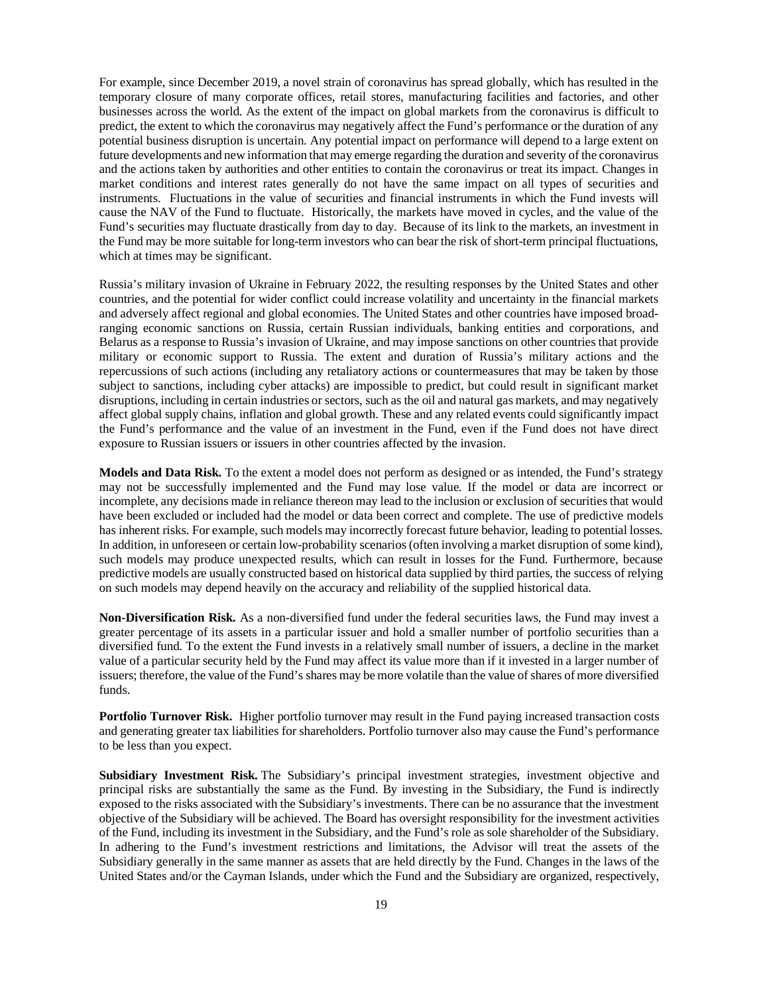For example, since December 2019, a novel strain of coronavirus has spread globally, which has resulted in the temporary closure of many corporate offices, retail stores, manufacturing facilities and factories, and other businesses across the world. As the extent of the impact on global markets from the coronavirus is difficult to predict, the extent to which the coronavirus may negatively affect the Fund's performance or the duration of any potential business disruption is uncertain. Any potential impact on performance will depend to a large extent on future developments and new information that may emerge regarding the duration and severity of the coronavirus and the actions taken by authorities and other entities to contain the coronavirus or treat its impact. Changes in market conditions and interest rates generally do not have the same impact on all types of securities and instruments. Fluctuations in the value of securities and financial instruments in which the Fund invests will cause the NAV of the Fund to fluctuate. Historically, the markets have moved in cycles, and the value of the Fund's securities may fluctuate drastically from day to day. Because of its link to the markets, an investment in the Fund may be more suitable for long-term investors who can bear the risk of short-term principal fluctuations, which at times may be significant.

Russia's military invasion of Ukraine in February 2022, the resulting responses by the United States and other countries, and the potential for wider conflict could increase volatility and uncertainty in the financial markets and adversely affect regional and global economies. The United States and other countries have imposed broadranging economic sanctions on Russia, certain Russian individuals, banking entities and corporations, and Belarus as a response to Russia's invasion of Ukraine, and may impose sanctions on other countries that provide military or economic support to Russia. The extent and duration of Russia's military actions and the repercussions of such actions (including any retaliatory actions or countermeasures that may be taken by those subject to sanctions, including cyber attacks) are impossible to predict, but could result in significant market disruptions, including in certain industries or sectors, such as the oil and natural gas markets, and may negatively affect global supply chains, inflation and global growth. These and any related events could significantly impact the Fund's performance and the value of an investment in the Fund, even if the Fund does not have direct exposure to Russian issuers or issuers in other countries affected by the invasion.

**Models and Data Risk.** To the extent a model does not perform as designed or as intended, the Fund's strategy may not be successfully implemented and the Fund may lose value. If the model or data are incorrect or incomplete, any decisions made in reliance thereon may lead to the inclusion or exclusion of securities that would have been excluded or included had the model or data been correct and complete. The use of predictive models has inherent risks. For example, such models may incorrectly forecast future behavior, leading to potential losses. In addition, in unforeseen or certain low-probability scenarios (often involving a market disruption of some kind), such models may produce unexpected results, which can result in losses for the Fund. Furthermore, because predictive models are usually constructed based on historical data supplied by third parties, the success of relying on such models may depend heavily on the accuracy and reliability of the supplied historical data.

**Non-Diversification Risk.** As a non-diversified fund under the federal securities laws, the Fund may invest a greater percentage of its assets in a particular issuer and hold a smaller number of portfolio securities than a diversified fund. To the extent the Fund invests in a relatively small number of issuers, a decline in the market value of a particular security held by the Fund may affect its value more than if it invested in a larger number of issuers; therefore, the value of the Fund's shares may be more volatile than the value of shares of more diversified funds.

**Portfolio Turnover Risk.** Higher portfolio turnover may result in the Fund paying increased transaction costs and generating greater tax liabilities for shareholders. Portfolio turnover also may cause the Fund's performance to be less than you expect.

**Subsidiary Investment Risk.** The Subsidiary's principal investment strategies, investment objective and principal risks are substantially the same as the Fund. By investing in the Subsidiary, the Fund is indirectly exposed to the risks associated with the Subsidiary's investments. There can be no assurance that the investment objective of the Subsidiary will be achieved. The Board has oversight responsibility for the investment activities of the Fund, including its investment in the Subsidiary, and the Fund's role as sole shareholder of the Subsidiary. In adhering to the Fund's investment restrictions and limitations, the Advisor will treat the assets of the Subsidiary generally in the same manner as assets that are held directly by the Fund. Changes in the laws of the United States and/or the Cayman Islands, under which the Fund and the Subsidiary are organized, respectively,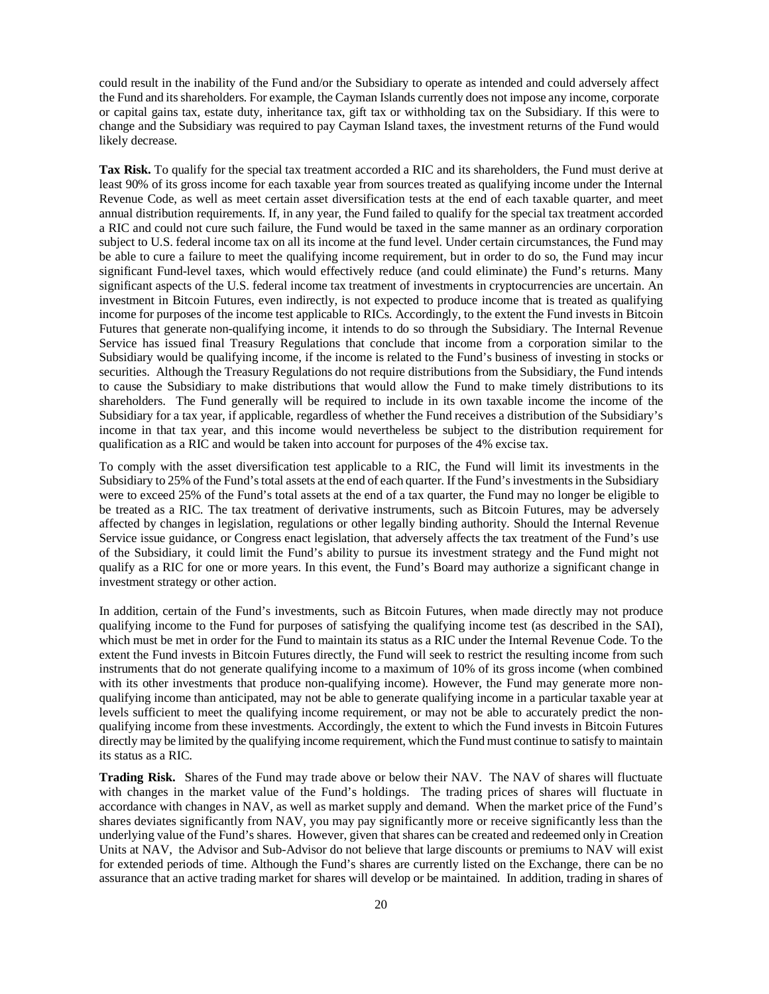could result in the inability of the Fund and/or the Subsidiary to operate as intended and could adversely affect the Fund and its shareholders. For example, the Cayman Islands currently does not impose any income, corporate or capital gains tax, estate duty, inheritance tax, gift tax or withholding tax on the Subsidiary. If this were to change and the Subsidiary was required to pay Cayman Island taxes, the investment returns of the Fund would likely decrease.

**Tax Risk.** To qualify for the special tax treatment accorded a RIC and its shareholders, the Fund must derive at least 90% of its gross income for each taxable year from sources treated as qualifying income under the Internal Revenue Code, as well as meet certain asset diversification tests at the end of each taxable quarter, and meet annual distribution requirements. If, in any year, the Fund failed to qualify for the special tax treatment accorded a RIC and could not cure such failure, the Fund would be taxed in the same manner as an ordinary corporation subject to U.S. federal income tax on all its income at the fund level. Under certain circumstances, the Fund may be able to cure a failure to meet the qualifying income requirement, but in order to do so, the Fund may incur significant Fund-level taxes, which would effectively reduce (and could eliminate) the Fund's returns. Many significant aspects of the U.S. federal income tax treatment of investments in cryptocurrencies are uncertain. An investment in Bitcoin Futures, even indirectly, is not expected to produce income that is treated as qualifying income for purposes of the income test applicable to RICs. Accordingly, to the extent the Fund invests in Bitcoin Futures that generate non-qualifying income, it intends to do so through the Subsidiary. The Internal Revenue Service has issued final Treasury Regulations that conclude that income from a corporation similar to the Subsidiary would be qualifying income, if the income is related to the Fund's business of investing in stocks or securities. Although the Treasury Regulations do not require distributions from the Subsidiary, the Fund intends to cause the Subsidiary to make distributions that would allow the Fund to make timely distributions to its shareholders. The Fund generally will be required to include in its own taxable income the income of the Subsidiary for a tax year, if applicable, regardless of whether the Fund receives a distribution of the Subsidiary's income in that tax year, and this income would nevertheless be subject to the distribution requirement for qualification as a RIC and would be taken into account for purposes of the 4% excise tax.

To comply with the asset diversification test applicable to a RIC, the Fund will limit its investments in the Subsidiary to 25% of the Fund's total assets at the end of each quarter. If the Fund's investments in the Subsidiary were to exceed 25% of the Fund's total assets at the end of a tax quarter, the Fund may no longer be eligible to be treated as a RIC. The tax treatment of derivative instruments, such as Bitcoin Futures, may be adversely affected by changes in legislation, regulations or other legally binding authority. Should the Internal Revenue Service issue guidance, or Congress enact legislation, that adversely affects the tax treatment of the Fund's use of the Subsidiary, it could limit the Fund's ability to pursue its investment strategy and the Fund might not qualify as a RIC for one or more years. In this event, the Fund's Board may authorize a significant change in investment strategy or other action.

In addition, certain of the Fund's investments, such as Bitcoin Futures, when made directly may not produce qualifying income to the Fund for purposes of satisfying the qualifying income test (as described in the SAI), which must be met in order for the Fund to maintain its status as a RIC under the Internal Revenue Code. To the extent the Fund invests in Bitcoin Futures directly, the Fund will seek to restrict the resulting income from such instruments that do not generate qualifying income to a maximum of 10% of its gross income (when combined with its other investments that produce non-qualifying income). However, the Fund may generate more nonqualifying income than anticipated, may not be able to generate qualifying income in a particular taxable year at levels sufficient to meet the qualifying income requirement, or may not be able to accurately predict the nonqualifying income from these investments. Accordingly, the extent to which the Fund invests in Bitcoin Futures directly may be limited by the qualifying income requirement, which the Fund must continue to satisfy to maintain its status as a RIC.

**Trading Risk.** Shares of the Fund may trade above or below their NAV. The NAV of shares will fluctuate with changes in the market value of the Fund's holdings. The trading prices of shares will fluctuate in accordance with changes in NAV, as well as market supply and demand. When the market price of the Fund's shares deviates significantly from NAV, you may pay significantly more or receive significantly less than the underlying value of the Fund's shares. However, given that shares can be created and redeemed only in Creation Units at NAV, the Advisor and Sub-Advisor do not believe that large discounts or premiums to NAV will exist for extended periods of time. Although the Fund's shares are currently listed on the Exchange, there can be no assurance that an active trading market for shares will develop or be maintained. In addition, trading in shares of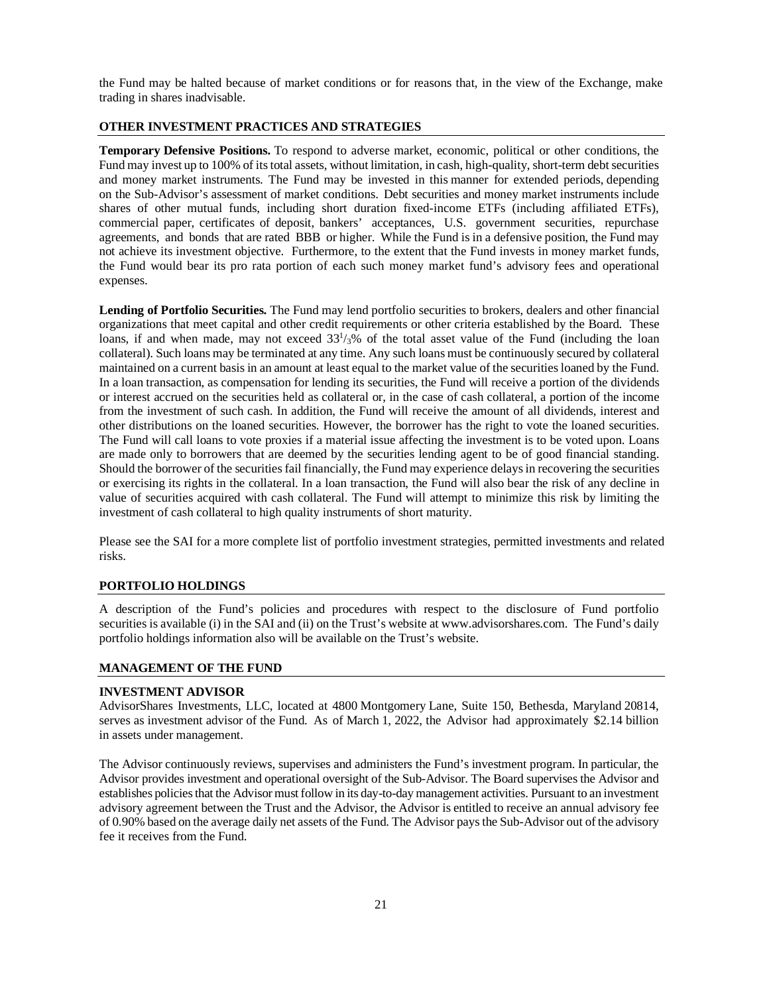the Fund may be halted because of market conditions or for reasons that, in the view of the Exchange, make trading in shares inadvisable.

# <span id="page-22-0"></span>**OTHER INVESTMENT PRACTICES AND STRATEGIES**

**Temporary Defensive Positions.** To respond to adverse market, economic, political or other conditions, the Fund may invest up to 100% of its total assets, without limitation, in cash, high-quality, short-term debt securities and money market instruments. The Fund may be invested in this manner for extended periods, depending on the Sub-Advisor's assessment of market conditions. Debt securities and money market instruments include shares of other mutual funds, including short duration fixed-income ETFs (including affiliated ETFs), commercial paper, certificates of deposit, bankers' acceptances, U.S. government securities, repurchase agreements, and bonds that are rated BBB or higher. While the Fund is in a defensive position, the Fund may not achieve its investment objective. Furthermore, to the extent that the Fund invests in money market funds, the Fund would bear its pro rata portion of each such money market fund's advisory fees and operational expenses.

**Lending of Portfolio Securities.** The Fund may lend portfolio securities to brokers, dealers and other financial organizations that meet capital and other credit requirements or other criteria established by the Board. These loans, if and when made, may not exceed  $33<sup>1</sup>/3\%$  of the total asset value of the Fund (including the loan collateral). Such loans may be terminated at any time. Any such loans must be continuously secured by collateral maintained on a current basis in an amount at least equal to the market value of the securities loaned by the Fund. In a loan transaction, as compensation for lending its securities, the Fund will receive a portion of the dividends or interest accrued on the securities held as collateral or, in the case of cash collateral, a portion of the income from the investment of such cash. In addition, the Fund will receive the amount of all dividends, interest and other distributions on the loaned securities. However, the borrower has the right to vote the loaned securities. The Fund will call loans to vote proxies if a material issue affecting the investment is to be voted upon. Loans are made only to borrowers that are deemed by the securities lending agent to be of good financial standing. Should the borrower of the securities fail financially, the Fund may experience delays in recovering the securities or exercising its rights in the collateral. In a loan transaction, the Fund will also bear the risk of any decline in value of securities acquired with cash collateral. The Fund will attempt to minimize this risk by limiting the investment of cash collateral to high quality instruments of short maturity.

Please see the SAI for a more complete list of portfolio investment strategies, permitted investments and related risks.

#### <span id="page-22-1"></span>**PORTFOLIO HOLDINGS**

A description of the Fund's policies and procedures with respect to the disclosure of Fund portfolio securities is available (i) in the SAI and (ii) on the Trust's website at www.advisorshares.com. The Fund's daily portfolio holdings information also will be available on the Trust's website.

#### <span id="page-22-2"></span>**MANAGEMENT OF THE FUND**

#### **INVESTMENT ADVISOR**

AdvisorShares Investments, LLC, located at 4800 Montgomery Lane, Suite 150, Bethesda, Maryland 20814, serves as investment advisor of the Fund. As of March 1, 2022, the Advisor had approximately \$2.14 billion in assets under management.

The Advisor continuously reviews, supervises and administers the Fund's investment program. In particular, the Advisor provides investment and operational oversight of the Sub-Advisor. The Board supervises the Advisor and establishes policies that the Advisor must follow in its day-to-day management activities. Pursuant to an investment advisory agreement between the Trust and the Advisor, the Advisor is entitled to receive an annual advisory fee of 0.90% based on the average daily net assets of the Fund. The Advisor pays the Sub-Advisor out of the advisory fee it receives from the Fund.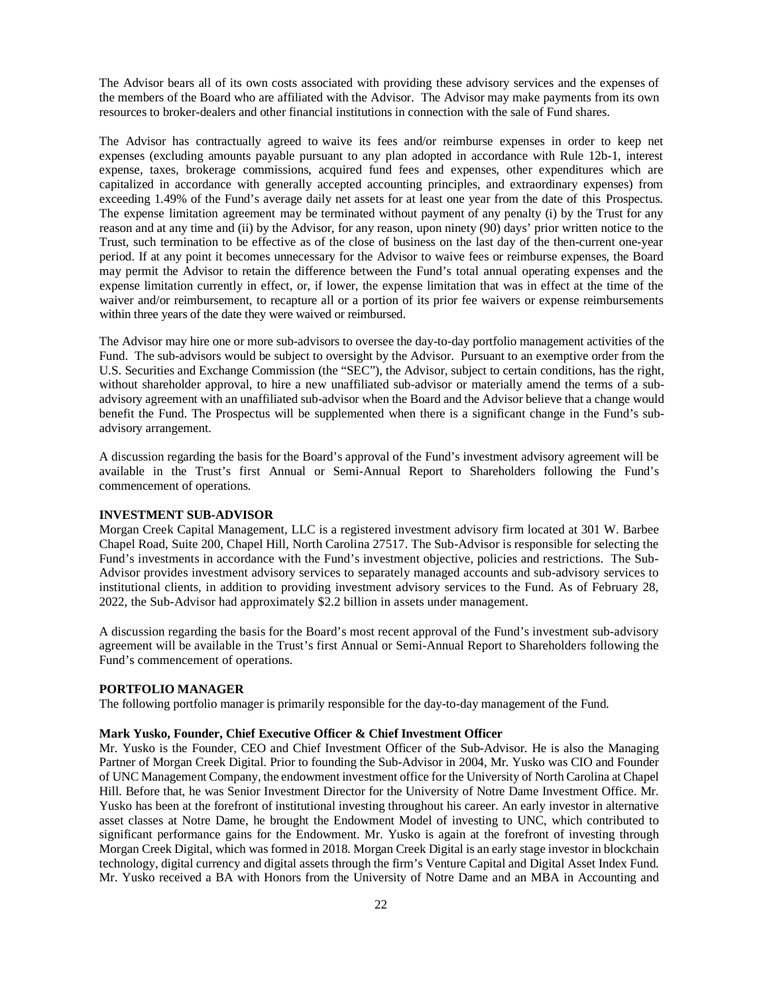The Advisor bears all of its own costs associated with providing these advisory services and the expenses of the members of the Board who are affiliated with the Advisor. The Advisor may make payments from its own resources to broker-dealers and other financial institutions in connection with the sale of Fund shares.

The Advisor has contractually agreed to waive its fees and/or reimburse expenses in order to keep net expenses (excluding amounts payable pursuant to any plan adopted in accordance with Rule 12b-1, interest expense, taxes, brokerage commissions, acquired fund fees and expenses, other expenditures which are capitalized in accordance with generally accepted accounting principles, and extraordinary expenses) from exceeding 1.49% of the Fund's average daily net assets for at least one year from the date of this Prospectus. The expense limitation agreement may be terminated without payment of any penalty (i) by the Trust for any reason and at any time and (ii) by the Advisor, for any reason, upon ninety (90) days' prior written notice to the Trust, such termination to be effective as of the close of business on the last day of the then-current one-year period. If at any point it becomes unnecessary for the Advisor to waive fees or reimburse expenses, the Board may permit the Advisor to retain the difference between the Fund's total annual operating expenses and the expense limitation currently in effect, or, if lower, the expense limitation that was in effect at the time of the waiver and/or reimbursement, to recapture all or a portion of its prior fee waivers or expense reimbursements within three years of the date they were waived or reimbursed.

The Advisor may hire one or more sub-advisors to oversee the day-to-day portfolio management activities of the Fund. The sub-advisors would be subject to oversight by the Advisor. Pursuant to an exemptive order from the U.S. Securities and Exchange Commission (the "SEC"), the Advisor, subject to certain conditions, has the right, without shareholder approval, to hire a new unaffiliated sub-advisor or materially amend the terms of a subadvisory agreement with an unaffiliated sub-advisor when the Board and the Advisor believe that a change would benefit the Fund. The Prospectus will be supplemented when there is a significant change in the Fund's subadvisory arrangement.

A discussion regarding the basis for the Board's approval of the Fund's investment advisory agreement will be available in the Trust's first Annual or Semi-Annual Report to Shareholders following the Fund's commencement of operations.

#### **INVESTMENT SUB-ADVISOR**

Morgan Creek Capital Management, LLC is a registered investment advisory firm located at 301 W. Barbee Chapel Road, Suite 200, Chapel Hill, North Carolina 27517. The Sub-Advisor is responsible for selecting the Fund's investments in accordance with the Fund's investment objective, policies and restrictions. The Sub-Advisor provides investment advisory services to separately managed accounts and sub-advisory services to institutional clients, in addition to providing investment advisory services to the Fund. As of February 28, 2022, the Sub-Advisor had approximately \$2.2 billion in assets under management.

A discussion regarding the basis for the Board's most recent approval of the Fund's investment sub-advisory agreement will be available in the Trust's first Annual or Semi-Annual Report to Shareholders following the Fund's commencement of operations.

#### **PORTFOLIO MANAGER**

The following portfolio manager is primarily responsible for the day-to-day management of the Fund.

#### **Mark Yusko, Founder, Chief Executive Officer & Chief Investment Officer**

Mr. Yusko is the Founder, CEO and Chief Investment Officer of the Sub-Advisor. He is also the Managing Partner of Morgan Creek Digital. Prior to founding the Sub-Advisor in 2004, Mr. Yusko was CIO and Founder of UNC Management Company, the endowment investment office for the University of North Carolina at Chapel Hill. Before that, he was Senior Investment Director for the University of Notre Dame Investment Office. Mr. Yusko has been at the forefront of institutional investing throughout his career. An early investor in alternative asset classes at Notre Dame, he brought the Endowment Model of investing to UNC, which contributed to significant performance gains for the Endowment. Mr. Yusko is again at the forefront of investing through Morgan Creek Digital, which was formed in 2018. Morgan Creek Digital is an early stage investor in blockchain technology, digital currency and digital assets through the firm's Venture Capital and Digital Asset Index Fund. Mr. Yusko received a BA with Honors from the University of Notre Dame and an MBA in Accounting and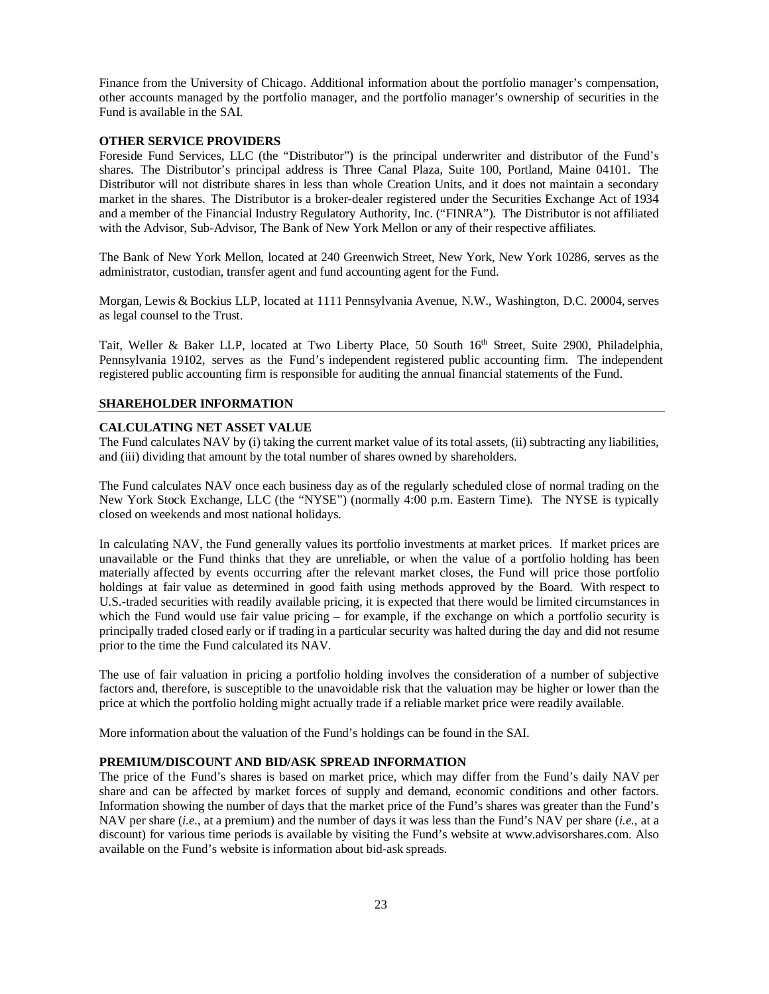Finance from the University of Chicago. Additional information about the portfolio manager's compensation, other accounts managed by the portfolio manager, and the portfolio manager's ownership of securities in the Fund is available in the SAI.

#### **OTHER SERVICE PROVIDERS**

Foreside Fund Services, LLC (the "Distributor") is the principal underwriter and distributor of the Fund's shares. The Distributor's principal address is Three Canal Plaza, Suite 100, Portland, Maine 04101. The Distributor will not distribute shares in less than whole Creation Units, and it does not maintain a secondary market in the shares. The Distributor is a broker-dealer registered under the Securities Exchange Act of 1934 and a member of the Financial Industry Regulatory Authority, Inc. ("FINRA"). The Distributor is not affiliated with the Advisor, Sub-Advisor, The Bank of New York Mellon or any of their respective affiliates.

The Bank of New York Mellon, located at 240 Greenwich Street, New York, New York 10286, serves as the administrator, custodian, transfer agent and fund accounting agent for the Fund.

Morgan, Lewis & Bockius LLP, located at 1111 Pennsylvania Avenue, N.W., Washington, D.C. 20004, serves as legal counsel to the Trust.

Tait, Weller & Baker LLP, located at Two Liberty Place, 50 South 16<sup>th</sup> Street, Suite 2900, Philadelphia, Pennsylvania 19102, serves as the Fund's independent registered public accounting firm. The independent registered public accounting firm is responsible for auditing the annual financial statements of the Fund.

#### <span id="page-24-0"></span>**SHAREHOLDER INFORMATION**

## **CALCULATING NET ASSET VALUE**

The Fund calculates NAV by (i) taking the current market value of its total assets, (ii) subtracting any liabilities, and (iii) dividing that amount by the total number of shares owned by shareholders.

The Fund calculates NAV once each business day as of the regularly scheduled close of normal trading on the New York Stock Exchange, LLC (the "NYSE") (normally 4:00 p.m. Eastern Time). The NYSE is typically closed on weekends and most national holidays.

In calculating NAV, the Fund generally values its portfolio investments at market prices. If market prices are unavailable or the Fund thinks that they are unreliable, or when the value of a portfolio holding has been materially affected by events occurring after the relevant market closes, the Fund will price those portfolio holdings at fair value as determined in good faith using methods approved by the Board. With respect to U.S.-traded securities with readily available pricing, it is expected that there would be limited circumstances in which the Fund would use fair value pricing – for example, if the exchange on which a portfolio security is principally traded closed early or if trading in a particular security was halted during the day and did not resume prior to the time the Fund calculated its NAV.

The use of fair valuation in pricing a portfolio holding involves the consideration of a number of subjective factors and, therefore, is susceptible to the unavoidable risk that the valuation may be higher or lower than the price at which the portfolio holding might actually trade if a reliable market price were readily available.

More information about the valuation of the Fund's holdings can be found in the SAI.

#### **PREMIUM/DISCOUNT AND BID/ASK SPREAD INFORMATION**

The price of the Fund's shares is based on market price, which may differ from the Fund's daily NAV per share and can be affected by market forces of supply and demand, economic conditions and other factors. Information showing the number of days that the market price of the Fund's shares was greater than the Fund's NAV per share (*i.e.*, at a premium) and the number of days it was less than the Fund's NAV per share (*i.e.*, at a discount) for various time periods is available by visiting the Fund's we[bsite at www.advisorshares.com.](http://www.advisorshares.com/) Also available on the Fund's website is information about bid-ask spreads.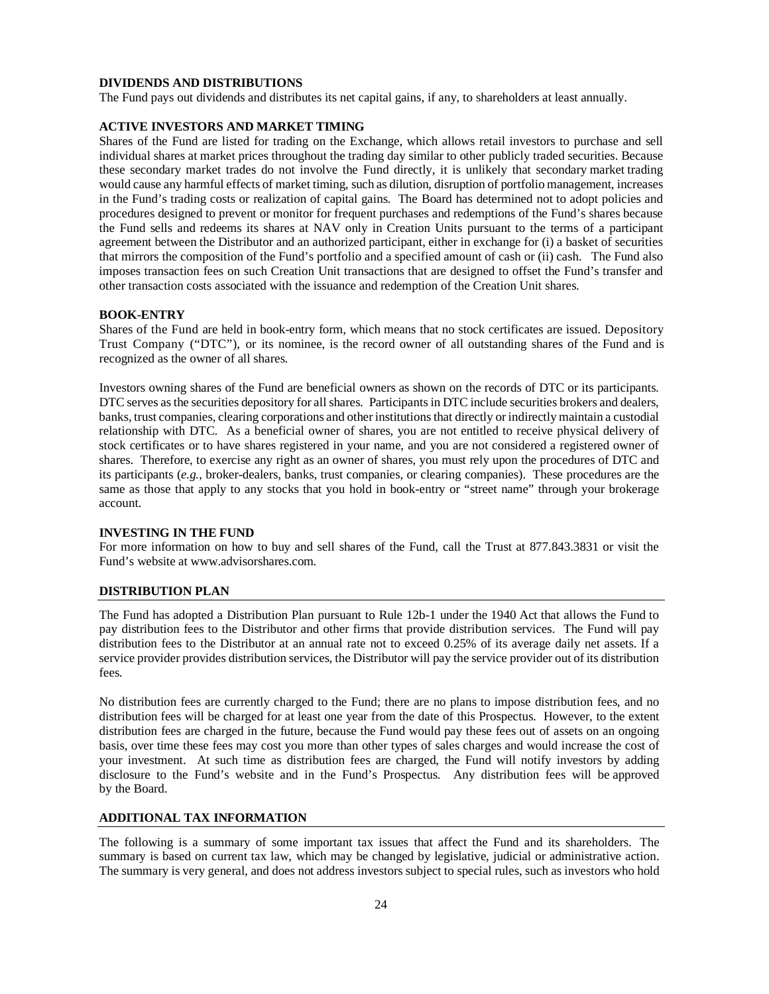#### **DIVIDENDS AND DISTRIBUTIONS**

The Fund pays out dividends and distributes its net capital gains, if any, to shareholders at least annually.

# **ACTIVE INVESTORS AND MARKET TIMING**

Shares of the Fund are listed for trading on the Exchange, which allows retail investors to purchase and sell individual shares at market prices throughout the trading day similar to other publicly traded securities. Because these secondary market trades do not involve the Fund directly, it is unlikely that secondary market trading would cause any harmful effects of market timing, such as dilution, disruption of portfolio management, increases in the Fund's trading costs or realization of capital gains. The Board has determined not to adopt policies and procedures designed to prevent or monitor for frequent purchases and redemptions of the Fund's shares because the Fund sells and redeems its shares at NAV only in Creation Units pursuant to the terms of a participant agreement between the Distributor and an authorized participant, either in exchange for (i) a basket of securities that mirrors the composition of the Fund's portfolio and a specified amount of cash or (ii) cash. The Fund also imposes transaction fees on such Creation Unit transactions that are designed to offset the Fund's transfer and other transaction costs associated with the issuance and redemption of the Creation Unit shares.

#### **BOOK-ENTRY**

Shares of the Fund are held in book-entry form, which means that no stock certificates are issued. Depository Trust Company ("DTC"), or its nominee, is the record owner of all outstanding shares of the Fund and is recognized as the owner of all shares.

Investors owning shares of the Fund are beneficial owners as shown on the records of DTC or its participants. DTC serves asthe securities depository for all shares. Participantsin DTC include securities brokers and dealers, banks, trust companies, clearing corporations and other institutionsthat directly or indirectly maintain a custodial relationship with DTC. As a beneficial owner of shares, you are not entitled to receive physical delivery of stock certificates or to have shares registered in your name, and you are not considered a registered owner of shares. Therefore, to exercise any right as an owner of shares, you must rely upon the procedures of DTC and its participants (*e.g.*, broker-dealers, banks, trust companies, or clearing companies). These procedures are the same as those that apply to any stocks that you hold in book-entry or "street name" through your brokerage account.

#### **INVESTING IN THE FUND**

For more information on how to buy and sell shares of the Fund, call the Trust at 877.843.3831 or visit the Fund's website [at www.advisorshares.com.](http://www.advisorshares.com/)

#### <span id="page-25-0"></span>**DISTRIBUTION PLAN**

The Fund has adopted a Distribution Plan pursuant to Rule 12b-1 under the 1940 Act that allows the Fund to pay distribution fees to the Distributor and other firms that provide distribution services. The Fund will pay distribution fees to the Distributor at an annual rate not to exceed 0.25% of its average daily net assets. If a service provider provides distribution services, the Distributor will pay the service provider out of its distribution fees.

No distribution fees are currently charged to the Fund; there are no plans to impose distribution fees, and no distribution fees will be charged for at least one year from the date of this Prospectus. However, to the extent distribution fees are charged in the future, because the Fund would pay these fees out of assets on an ongoing basis, over time these fees may cost you more than other types of sales charges and would increase the cost of your investment. At such time as distribution fees are charged, the Fund will notify investors by adding disclosure to the Fund's website and in the Fund's Prospectus. Any distribution fees will be approved by the Board.

#### <span id="page-25-1"></span>**ADDITIONAL TAX INFORMATION**

The following is a summary of some important tax issues that affect the Fund and its shareholders. The summary is based on current tax law, which may be changed by legislative, judicial or administrative action. The summary is very general, and does not address investors subject to special rules, such as investors who hold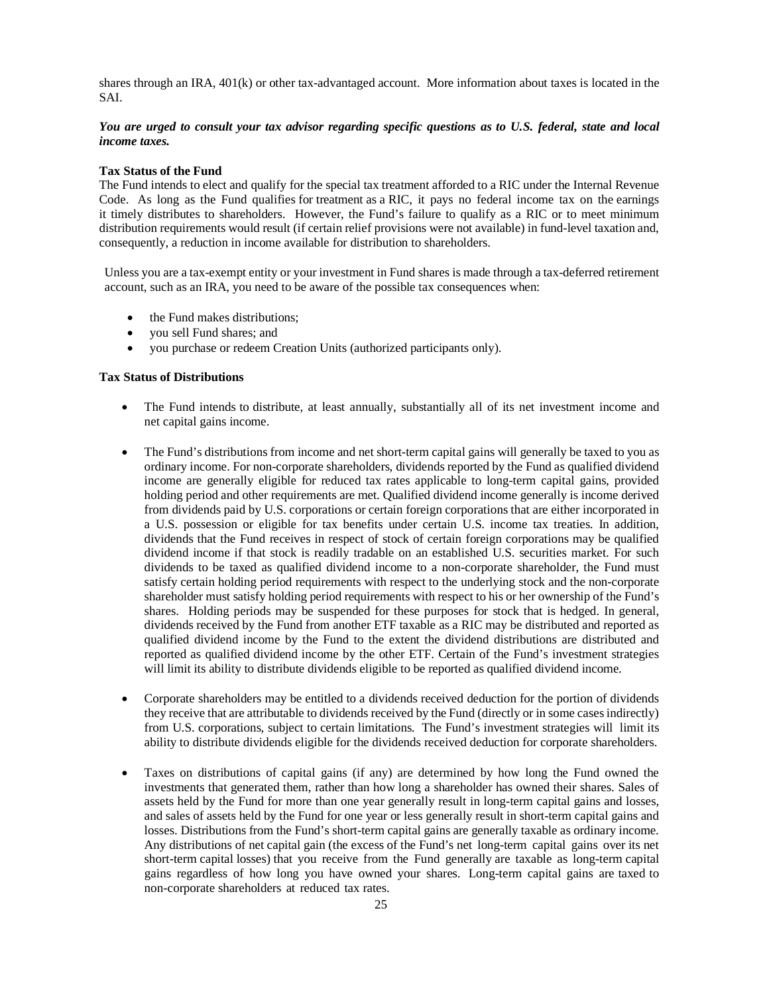shares through an IRA, 401(k) or other tax-advantaged account. More information about taxes is located in the SAI.

# *You are urged to consult your tax advisor regarding specific questions as to U.S. federal, state and local income taxes.*

#### **Tax Status of the Fund**

The Fund intends to elect and qualify for the special tax treatment afforded to a RIC under the Internal Revenue Code. As long as the Fund qualifies for treatment as a RIC, it pays no federal income tax on the earnings it timely distributes to shareholders. However, the Fund's failure to qualify as a RIC or to meet minimum distribution requirements would result (if certain relief provisions were not available) in fund-level taxation and, consequently, a reduction in income available for distribution to shareholders.

Unless you are a tax-exempt entity or your investment in Fund shares is made through a tax-deferred retirement account, such as an IRA, you need to be aware of the possible tax consequences when:

- the Fund makes distributions;
- you sell Fund shares; and
- you purchase or redeem Creation Units (authorized participants only).

#### **Tax Status of Distributions**

- The Fund intends to distribute, at least annually, substantially all of its net investment income and net capital gains income.
- The Fund's distributions from income and net short-term capital gains will generally be taxed to you as ordinary income. For non-corporate shareholders, dividends reported by the Fund as qualified dividend income are generally eligible for reduced tax rates applicable to long-term capital gains, provided holding period and other requirements are met. Qualified dividend income generally is income derived from dividends paid by U.S. corporations or certain foreign corporations that are either incorporated in a U.S. possession or eligible for tax benefits under certain U.S. income tax treaties. In addition, dividends that the Fund receives in respect of stock of certain foreign corporations may be qualified dividend income if that stock is readily tradable on an established U.S. securities market. For such dividends to be taxed as qualified dividend income to a non-corporate shareholder, the Fund must satisfy certain holding period requirements with respect to the underlying stock and the non-corporate shareholder must satisfy holding period requirements with respect to his or her ownership of the Fund's shares. Holding periods may be suspended for these purposes for stock that is hedged. In general, dividends received by the Fund from another ETF taxable as a RIC may be distributed and reported as qualified dividend income by the Fund to the extent the dividend distributions are distributed and reported as qualified dividend income by the other ETF. Certain of the Fund's investment strategies will limit its ability to distribute dividends eligible to be reported as qualified dividend income.
- Corporate shareholders may be entitled to a dividends received deduction for the portion of dividends they receive that are attributable to dividends received by the Fund (directly or in some cases indirectly) from U.S. corporations, subject to certain limitations. The Fund's investment strategies will limit its ability to distribute dividends eligible for the dividends received deduction for corporate shareholders.
- Taxes on distributions of capital gains (if any) are determined by how long the Fund owned the investments that generated them, rather than how long a shareholder has owned their shares. Sales of assets held by the Fund for more than one year generally result in long-term capital gains and losses, and sales of assets held by the Fund for one year or less generally result in short-term capital gains and losses. Distributions from the Fund's short-term capital gains are generally taxable as ordinary income. Any distributions of net capital gain (the excess of the Fund's net long-term capital gains over its net short-term capital losses) that you receive from the Fund generally are taxable as long-term capital gains regardless of how long you have owned your shares. Long-term capital gains are taxed to non-corporate shareholders at reduced tax rates.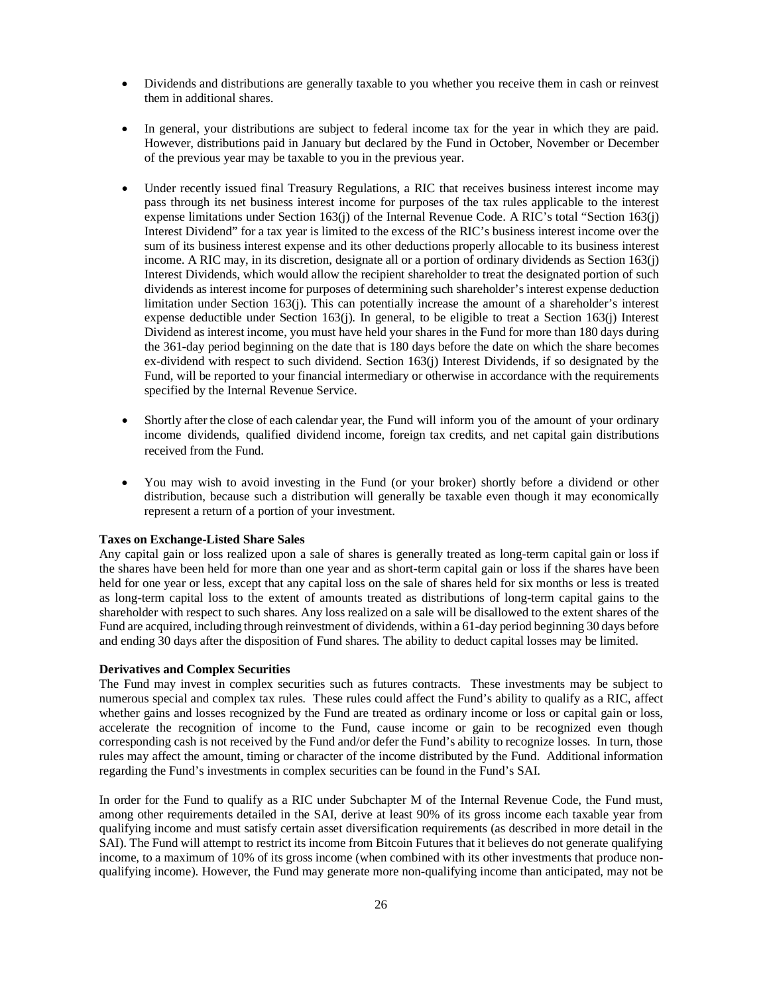- Dividends and distributions are generally taxable to you whether you receive them in cash or reinvest them in additional shares.
- In general, your distributions are subject to federal income tax for the year in which they are paid. However, distributions paid in January but declared by the Fund in October, November or December of the previous year may be taxable to you in the previous year.
- Under recently issued final Treasury Regulations, a RIC that receives business interest income may pass through its net business interest income for purposes of the tax rules applicable to the interest expense limitations under Section 163(j) of the Internal Revenue Code. A RIC's total "Section 163(j) Interest Dividend" for a tax year is limited to the excess of the RIC's business interest income over the sum of its business interest expense and its other deductions properly allocable to its business interest income. A RIC may, in its discretion, designate all or a portion of ordinary dividends as Section 163(j) Interest Dividends, which would allow the recipient shareholder to treat the designated portion of such dividends as interest income for purposes of determining such shareholder's interest expense deduction limitation under Section 163(j). This can potentially increase the amount of a shareholder's interest expense deductible under Section 163(j). In general, to be eligible to treat a Section 163(j) Interest Dividend as interest income, you must have held your shares in the Fund for more than 180 days during the 361-day period beginning on the date that is 180 days before the date on which the share becomes ex-dividend with respect to such dividend. Section 163(j) Interest Dividends, if so designated by the Fund, will be reported to your financial intermediary or otherwise in accordance with the requirements specified by the Internal Revenue Service.
- Shortly after the close of each calendar year, the Fund will inform you of the amount of your ordinary income dividends, qualified dividend income, foreign tax credits, and net capital gain distributions received from the Fund.
- You may wish to avoid investing in the Fund (or your broker) shortly before a dividend or other distribution, because such a distribution will generally be taxable even though it may economically represent a return of a portion of your investment.

#### **Taxes on Exchange-Listed Share Sales**

Any capital gain or loss realized upon a sale of shares is generally treated as long-term capital gain or loss if the shares have been held for more than one year and as short-term capital gain or loss if the shares have been held for one year or less, except that any capital loss on the sale of shares held for six months or less is treated as long-term capital loss to the extent of amounts treated as distributions of long-term capital gains to the shareholder with respect to such shares. Any loss realized on a sale will be disallowed to the extent shares of the Fund are acquired, including through reinvestment of dividends, within a 61-day period beginning 30 days before and ending 30 days after the disposition of Fund shares. The ability to deduct capital losses may be limited.

#### **Derivatives and Complex Securities**

The Fund may invest in complex securities such as futures contracts. These investments may be subject to numerous special and complex tax rules. These rules could affect the Fund's ability to qualify as a RIC, affect whether gains and losses recognized by the Fund are treated as ordinary income or loss or capital gain or loss, accelerate the recognition of income to the Fund, cause income or gain to be recognized even though corresponding cash is not received by the Fund and/or defer the Fund's ability to recognize losses. In turn, those rules may affect the amount, timing or character of the income distributed by the Fund. Additional information regarding the Fund's investments in complex securities can be found in the Fund's SAI.

In order for the Fund to qualify as a RIC under Subchapter M of the Internal Revenue Code, the Fund must, among other requirements detailed in the SAI, derive at least 90% of its gross income each taxable year from qualifying income and must satisfy certain asset diversification requirements (as described in more detail in the SAI). The Fund will attempt to restrict its income from Bitcoin Futures that it believes do not generate qualifying income, to a maximum of 10% of its gross income (when combined with its other investments that produce nonqualifying income). However, the Fund may generate more non-qualifying income than anticipated, may not be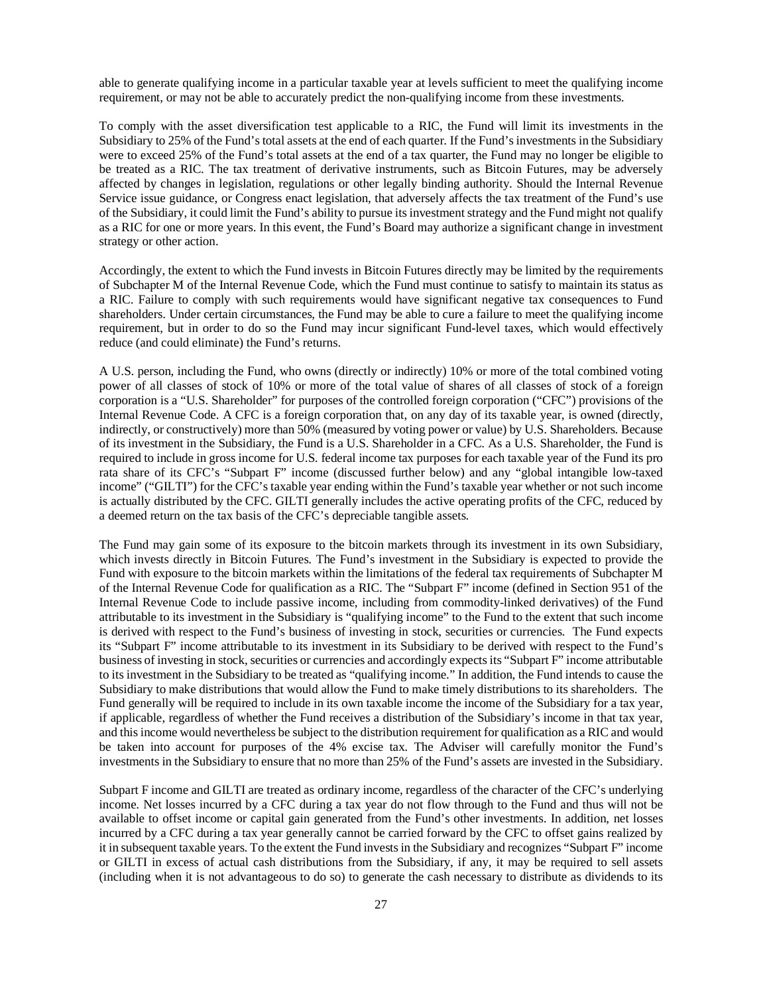able to generate qualifying income in a particular taxable year at levels sufficient to meet the qualifying income requirement, or may not be able to accurately predict the non-qualifying income from these investments.

To comply with the asset diversification test applicable to a RIC, the Fund will limit its investments in the Subsidiary to 25% of the Fund's total assets at the end of each quarter. If the Fund's investments in the Subsidiary were to exceed 25% of the Fund's total assets at the end of a tax quarter, the Fund may no longer be eligible to be treated as a RIC. The tax treatment of derivative instruments, such as Bitcoin Futures, may be adversely affected by changes in legislation, regulations or other legally binding authority. Should the Internal Revenue Service issue guidance, or Congress enact legislation, that adversely affects the tax treatment of the Fund's use of the Subsidiary, it could limit the Fund's ability to pursue its investment strategy and the Fund might not qualify as a RIC for one or more years. In this event, the Fund's Board may authorize a significant change in investment strategy or other action.

Accordingly, the extent to which the Fund invests in Bitcoin Futures directly may be limited by the requirements of Subchapter M of the Internal Revenue Code, which the Fund must continue to satisfy to maintain its status as a RIC. Failure to comply with such requirements would have significant negative tax consequences to Fund shareholders. Under certain circumstances, the Fund may be able to cure a failure to meet the qualifying income requirement, but in order to do so the Fund may incur significant Fund-level taxes, which would effectively reduce (and could eliminate) the Fund's returns.

A U.S. person, including the Fund, who owns (directly or indirectly) 10% or more of the total combined voting power of all classes of stock of 10% or more of the total value of shares of all classes of stock of a foreign corporation is a "U.S. Shareholder" for purposes of the controlled foreign corporation ("CFC") provisions of the Internal Revenue Code. A CFC is a foreign corporation that, on any day of its taxable year, is owned (directly, indirectly, or constructively) more than 50% (measured by voting power or value) by U.S. Shareholders. Because of its investment in the Subsidiary, the Fund is a U.S. Shareholder in a CFC. As a U.S. Shareholder, the Fund is required to include in gross income for U.S. federal income tax purposes for each taxable year of the Fund its pro rata share of its CFC's "Subpart F" income (discussed further below) and any "global intangible low-taxed income" ("GILTI") for the CFC's taxable year ending within the Fund's taxable year whether or not such income is actually distributed by the CFC. GILTI generally includes the active operating profits of the CFC, reduced by a deemed return on the tax basis of the CFC's depreciable tangible assets.

The Fund may gain some of its exposure to the bitcoin markets through its investment in its own Subsidiary, which invests directly in Bitcoin Futures. The Fund's investment in the Subsidiary is expected to provide the Fund with exposure to the bitcoin markets within the limitations of the federal tax requirements of Subchapter M of the Internal Revenue Code for qualification as a RIC. The "Subpart F" income (defined in Section 951 of the Internal Revenue Code to include passive income, including from commodity-linked derivatives) of the Fund attributable to its investment in the Subsidiary is "qualifying income" to the Fund to the extent that such income is derived with respect to the Fund's business of investing in stock, securities or currencies. The Fund expects its "Subpart F" income attributable to its investment in its Subsidiary to be derived with respect to the Fund's business of investing in stock, securities or currencies and accordingly expects its "Subpart F" income attributable to its investment in the Subsidiary to be treated as "qualifying income." In addition, the Fund intends to cause the Subsidiary to make distributions that would allow the Fund to make timely distributions to its shareholders. The Fund generally will be required to include in its own taxable income the income of the Subsidiary for a tax year, if applicable, regardless of whether the Fund receives a distribution of the Subsidiary's income in that tax year, and this income would nevertheless be subject to the distribution requirement for qualification as a RIC and would be taken into account for purposes of the 4% excise tax. The Adviser will carefully monitor the Fund's investments in the Subsidiary to ensure that no more than 25% of the Fund's assets are invested in the Subsidiary.

Subpart F income and GILTI are treated as ordinary income, regardless of the character of the CFC's underlying income. Net losses incurred by a CFC during a tax year do not flow through to the Fund and thus will not be available to offset income or capital gain generated from the Fund's other investments. In addition, net losses incurred by a CFC during a tax year generally cannot be carried forward by the CFC to offset gains realized by it in subsequent taxable years. To the extent the Fund invests in the Subsidiary and recognizes "Subpart F" income or GILTI in excess of actual cash distributions from the Subsidiary, if any, it may be required to sell assets (including when it is not advantageous to do so) to generate the cash necessary to distribute as dividends to its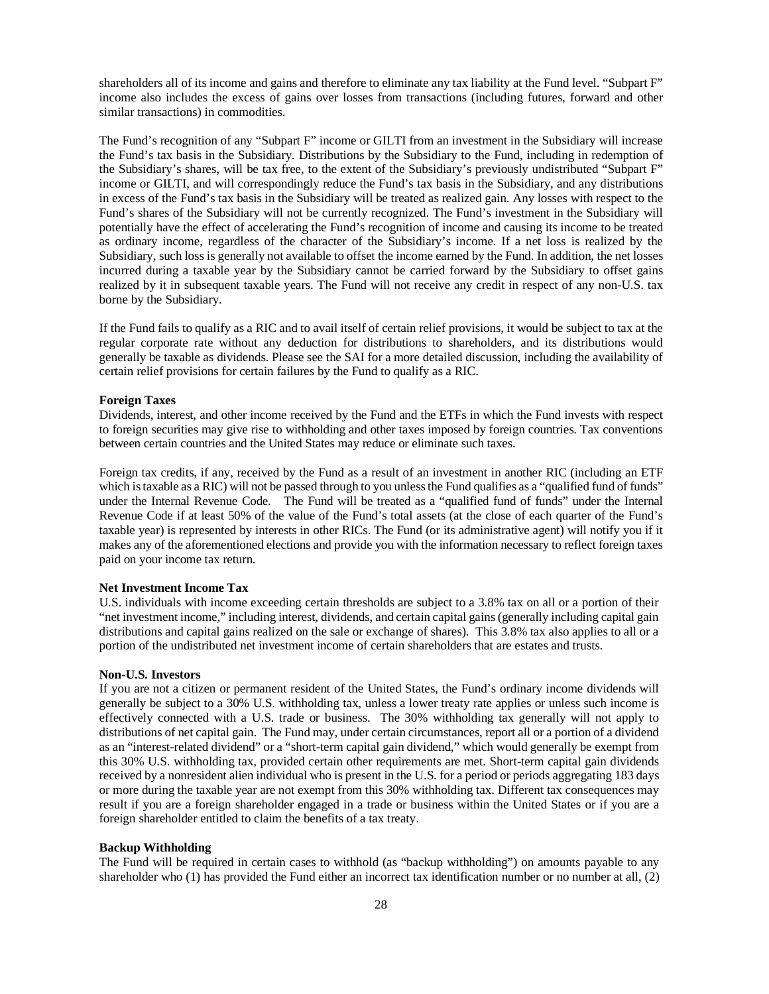shareholders all of its income and gains and therefore to eliminate any tax liability at the Fund level. "Subpart F" income also includes the excess of gains over losses from transactions (including futures, forward and other similar transactions) in commodities.

The Fund's recognition of any "Subpart F" income or GILTI from an investment in the Subsidiary will increase the Fund's tax basis in the Subsidiary. Distributions by the Subsidiary to the Fund, including in redemption of the Subsidiary's shares, will be tax free, to the extent of the Subsidiary's previously undistributed "Subpart F" income or GILTI, and will correspondingly reduce the Fund's tax basis in the Subsidiary, and any distributions in excess of the Fund's tax basis in the Subsidiary will be treated as realized gain. Any losses with respect to the Fund's shares of the Subsidiary will not be currently recognized. The Fund's investment in the Subsidiary will potentially have the effect of accelerating the Fund's recognition of income and causing its income to be treated as ordinary income, regardless of the character of the Subsidiary's income. If a net loss is realized by the Subsidiary, such loss is generally not available to offset the income earned by the Fund. In addition, the net losses incurred during a taxable year by the Subsidiary cannot be carried forward by the Subsidiary to offset gains realized by it in subsequent taxable years. The Fund will not receive any credit in respect of any non-U.S. tax borne by the Subsidiary.

If the Fund fails to qualify as a RIC and to avail itself of certain relief provisions, it would be subject to tax at the regular corporate rate without any deduction for distributions to shareholders, and its distributions would generally be taxable as dividends. Please see the SAI for a more detailed discussion, including the availability of certain relief provisions for certain failures by the Fund to qualify as a RIC.

#### **Foreign Taxes**

Dividends, interest, and other income received by the Fund and the ETFs in which the Fund invests with respect to foreign securities may give rise to withholding and other taxes imposed by foreign countries. Tax conventions between certain countries and the United States may reduce or eliminate such taxes.

Foreign tax credits, if any, received by the Fund as a result of an investment in another RIC (including an ETF which is taxable as a RIC) will not be passed through to you unless the Fund qualifies as a "qualified fund of funds" under the Internal Revenue Code. The Fund will be treated as a "qualified fund of funds" under the Internal Revenue Code if at least 50% of the value of the Fund's total assets (at the close of each quarter of the Fund's taxable year) is represented by interests in other RICs. The Fund (or its administrative agent) will notify you if it makes any of the aforementioned elections and provide you with the information necessary to reflect foreign taxes paid on your income tax return.

#### **Net Investment Income Tax**

U.S. individuals with income exceeding certain thresholds are subject to a 3.8% tax on all or a portion of their "net investment income," including interest, dividends, and certain capital gains (generally including capital gain distributions and capital gains realized on the sale or exchange of shares). This 3.8% tax also applies to all or a portion of the undistributed net investment income of certain shareholders that are estates and trusts.

#### **Non-U.S. Investors**

If you are not a citizen or permanent resident of the United States, the Fund's ordinary income dividends will generally be subject to a 30% U.S. withholding tax, unless a lower treaty rate applies or unless such income is effectively connected with a U.S. trade or business. The 30% withholding tax generally will not apply to distributions of net capital gain. The Fund may, under certain circumstances, report all or a portion of a dividend as an "interest-related dividend" or a "short-term capital gain dividend," which would generally be exempt from this 30% U.S. withholding tax, provided certain other requirements are met. Short-term capital gain dividends received by a nonresident alien individual who is present in the U.S. for a period or periods aggregating 183 days or more during the taxable year are not exempt from this 30% withholding tax. Different tax consequences may result if you are a foreign shareholder engaged in a trade or business within the United States or if you are a foreign shareholder entitled to claim the benefits of a tax treaty.

#### **Backup Withholding**

The Fund will be required in certain cases to withhold (as "backup withholding") on amounts payable to any shareholder who (1) has provided the Fund either an incorrect tax identification number or no number at all, (2)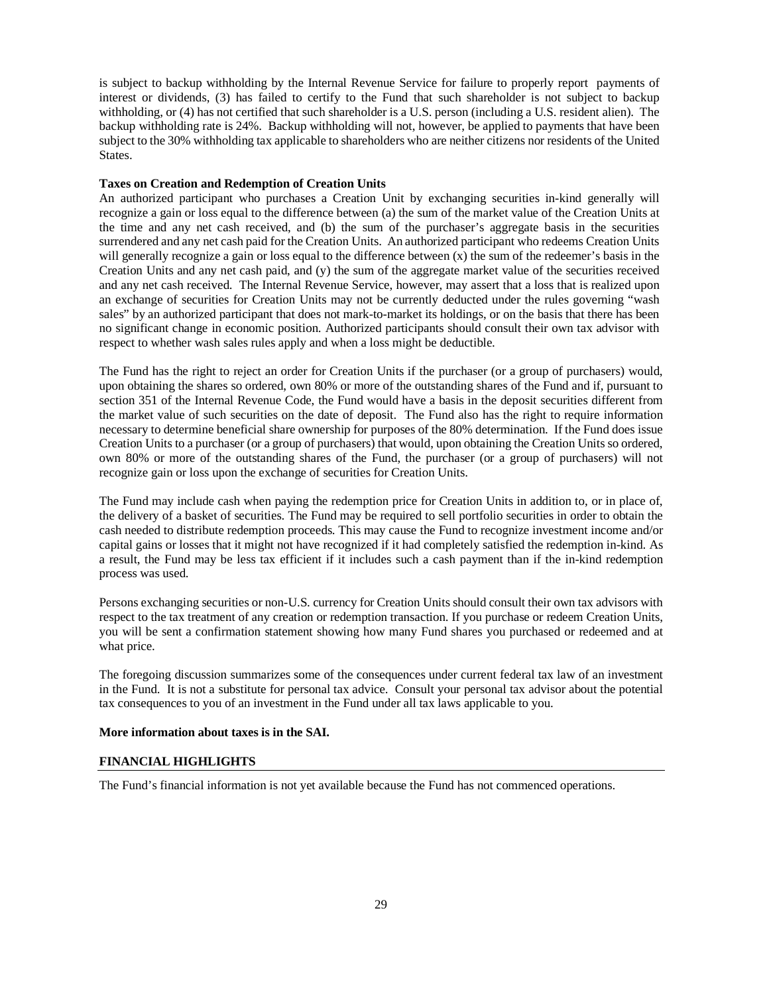is subject to backup withholding by the Internal Revenue Service for failure to properly report payments of interest or dividends, (3) has failed to certify to the Fund that such shareholder is not subject to backup withholding, or (4) has not certified that such shareholder is a U.S. person (including a U.S. resident alien). The backup withholding rate is 24%. Backup withholding will not, however, be applied to payments that have been subject to the 30% withholding tax applicable to shareholders who are neither citizens nor residents of the United States.

#### **Taxes on Creation and Redemption of Creation Units**

An authorized participant who purchases a Creation Unit by exchanging securities in-kind generally will recognize a gain or loss equal to the difference between (a) the sum of the market value of the Creation Units at the time and any net cash received, and (b) the sum of the purchaser's aggregate basis in the securities surrendered and any net cash paid for the Creation Units. An authorized participant who redeems Creation Units will generally recognize a gain or loss equal to the difference between (x) the sum of the redeemer's basis in the Creation Units and any net cash paid, and (y) the sum of the aggregate market value of the securities received and any net cash received. The Internal Revenue Service, however, may assert that a loss that is realized upon an exchange of securities for Creation Units may not be currently deducted under the rules governing "wash sales" by an authorized participant that does not mark-to-market its holdings, or on the basis that there has been no significant change in economic position. Authorized participants should consult their own tax advisor with respect to whether wash sales rules apply and when a loss might be deductible.

The Fund has the right to reject an order for Creation Units if the purchaser (or a group of purchasers) would, upon obtaining the shares so ordered, own 80% or more of the outstanding shares of the Fund and if, pursuant to section 351 of the Internal Revenue Code, the Fund would have a basis in the deposit securities different from the market value of such securities on the date of deposit. The Fund also has the right to require information necessary to determine beneficial share ownership for purposes of the 80% determination. If the Fund does issue Creation Units to a purchaser (or a group of purchasers) that would, upon obtaining the Creation Units so ordered, own 80% or more of the outstanding shares of the Fund, the purchaser (or a group of purchasers) will not recognize gain or loss upon the exchange of securities for Creation Units.

The Fund may include cash when paying the redemption price for Creation Units in addition to, or in place of, the delivery of a basket of securities. The Fund may be required to sell portfolio securities in order to obtain the cash needed to distribute redemption proceeds. This may cause the Fund to recognize investment income and/or capital gains or losses that it might not have recognized if it had completely satisfied the redemption in-kind. As a result, the Fund may be less tax efficient if it includes such a cash payment than if the in-kind redemption process was used.

Persons exchanging securities or non-U.S. currency for Creation Units should consult their own tax advisors with respect to the tax treatment of any creation or redemption transaction. If you purchase or redeem Creation Units, you will be sent a confirmation statement showing how many Fund shares you purchased or redeemed and at what price.

The foregoing discussion summarizes some of the consequences under current federal tax law of an investment in the Fund. It is not a substitute for personal tax advice. Consult your personal tax advisor about the potential tax consequences to you of an investment in the Fund under all tax laws applicable to you.

#### <span id="page-30-0"></span>**More information about taxes is in the SAI.**

#### **FINANCIAL HIGHLIGHTS**

The Fund's financial information is not yet available because the Fund has not commenced operations.